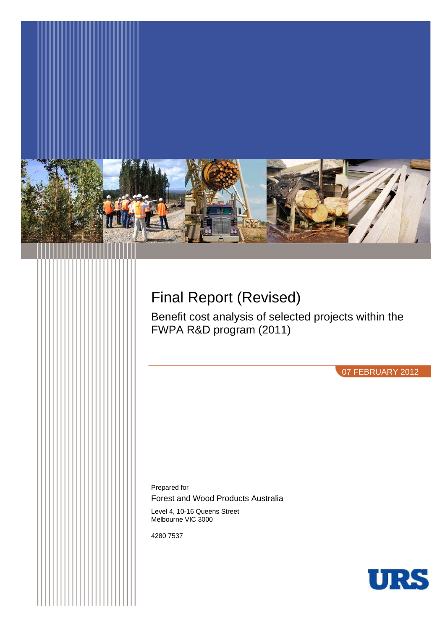

# Final Report (Revised)

Benefit cost analysis of selected projects within the FWPA R&D program (2011)

07 FEBRUARY 2012

Prepared for

Forest and Wood Products Australia

Level 4, 10-16 Queens Street Melbourne VIC 3000

4280 7537

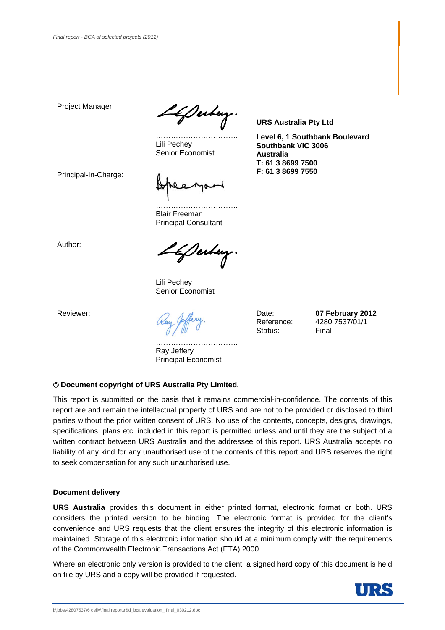Project Manager:

<u>If</u> Serbey.

…………………………… Lili Pechey Senior Economist

**URS Australia Pty Ltd** 

**Level 6, 1 Southbank Boulevard Southbank VIC 3006 Australia T: 61 3 8699 7500 F: 61 3 8699 7550** 

Principal-In-Charge:

…………………………… Blair Freeman Principal Consultant

Author:

LkDerbey.

…………………………… Lili Pechey Senior Economist

Reviewer:

Date: Reference: Status:

**07 February 2012** 4280 7537/01/1 Final

…………………………… Ray Jeffery Principal Economist

## **Document copyright of URS Australia Pty Limited.**

This report is submitted on the basis that it remains commercial-in-confidence. The contents of this report are and remain the intellectual property of URS and are not to be provided or disclosed to third parties without the prior written consent of URS. No use of the contents, concepts, designs, drawings, specifications, plans etc. included in this report is permitted unless and until they are the subject of a written contract between URS Australia and the addressee of this report. URS Australia accepts no liability of any kind for any unauthorised use of the contents of this report and URS reserves the right to seek compensation for any such unauthorised use.

#### **Document delivery**

**URS Australia** provides this document in either printed format, electronic format or both. URS considers the printed version to be binding. The electronic format is provided for the client's convenience and URS requests that the client ensures the integrity of this electronic information is maintained. Storage of this electronic information should at a minimum comply with the requirements of the Commonwealth Electronic Transactions Act (ETA) 2000.

Where an electronic only version is provided to the client, a signed hard copy of this document is held on file by URS and a copy will be provided if requested.

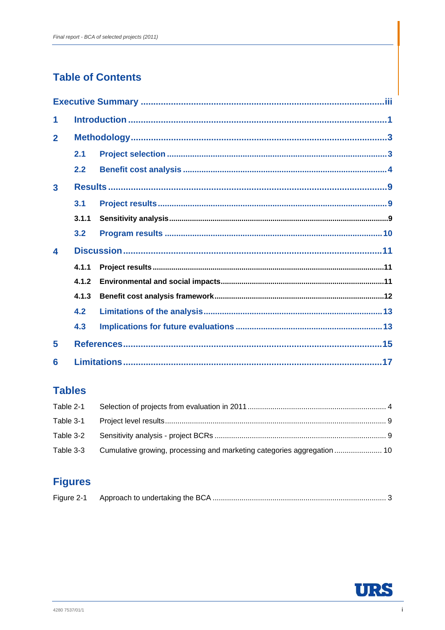# **Table of Contents**

| 1                |       |  |
|------------------|-------|--|
| $\overline{2}$   |       |  |
|                  | 2.1   |  |
|                  | 2.2   |  |
| 3                |       |  |
|                  | 3.1   |  |
|                  | 3.1.1 |  |
|                  | 3.2   |  |
| $\blacktriangle$ |       |  |
|                  | 4.1.1 |  |
|                  | 4.1.2 |  |
|                  | 4.1.3 |  |
|                  | 4.2   |  |
|                  | 4.3   |  |
| 5                |       |  |
| 6                |       |  |

# **Tables**

| Table 3-3 Cumulative growing, processing and marketing categories aggregation  10 |  |
|-----------------------------------------------------------------------------------|--|

# **Figures**

| Figure 2-1 |  |  |  |  |
|------------|--|--|--|--|
|------------|--|--|--|--|

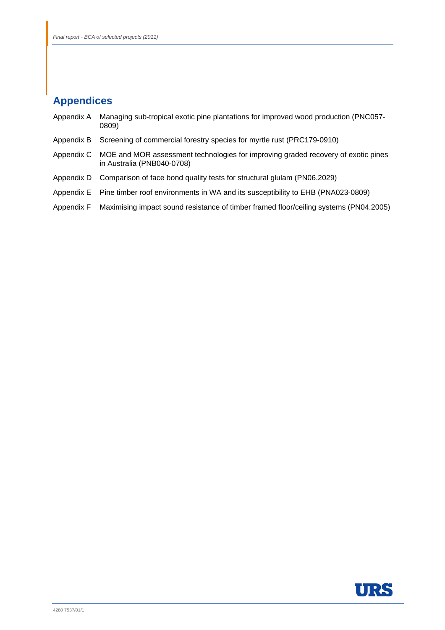# **Appendices**

| Appendix A | Managing sub-tropical exotic pine plantations for improved wood production (PNC057-<br>0809)                    |
|------------|-----------------------------------------------------------------------------------------------------------------|
| Appendix B | Screening of commercial forestry species for myrtle rust (PRC179-0910)                                          |
| Appendix C | MOE and MOR assessment technologies for improving graded recovery of exotic pines<br>in Australia (PNB040-0708) |
| Appendix D | Comparison of face bond quality tests for structural glulam (PN06.2029)                                         |
|            | Appendix E Pine timber roof environments in WA and its susceptibility to EHB (PNA023-0809)                      |

Appendix F Maximising impact sound resistance of timber framed floor/ceiling systems (PN04.2005)

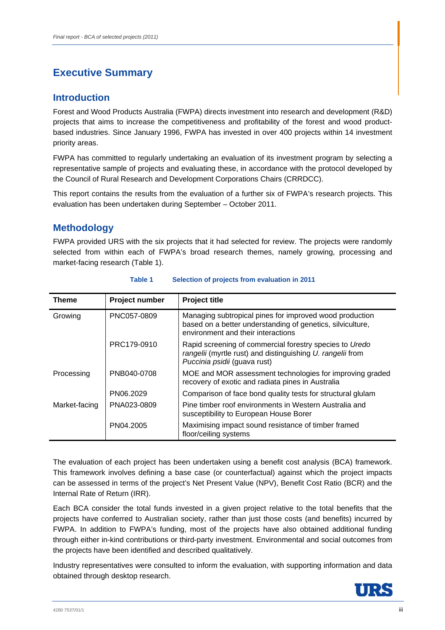# **Introduction**

Forest and Wood Products Australia (FWPA) directs investment into research and development (R&D) projects that aims to increase the competitiveness and profitability of the forest and wood productbased industries. Since January 1996, FWPA has invested in over 400 projects within 14 investment priority areas.

FWPA has committed to regularly undertaking an evaluation of its investment program by selecting a representative sample of projects and evaluating these, in accordance with the protocol developed by the Council of Rural Research and Development Corporations Chairs (CRRDCC).

This report contains the results from the evaluation of a further six of FWPA's research projects. This evaluation has been undertaken during September – October 2011.

# **Methodology**

FWPA provided URS with the six projects that it had selected for review. The projects were randomly selected from within each of FWPA's broad research themes, namely growing, processing and market-facing research (Table 1).

| Theme         | Project number | <b>Project title</b>                                                                                                                                        |
|---------------|----------------|-------------------------------------------------------------------------------------------------------------------------------------------------------------|
| Growing       | PNC057-0809    | Managing subtropical pines for improved wood production<br>based on a better understanding of genetics, silviculture,<br>environment and their interactions |
|               | PRC179-0910    | Rapid screening of commercial forestry species to Uredo<br>rangelii (myrtle rust) and distinguishing U. rangelii from<br>Puccinia psidii (guava rust)       |
| Processing    | PNB040-0708    | MOE and MOR assessment technologies for improving graded<br>recovery of exotic and radiata pines in Australia                                               |
|               | PN06.2029      | Comparison of face bond quality tests for structural glulam                                                                                                 |
| Market-facing | PNA023-0809    | Pine timber roof environments in Western Australia and<br>susceptibility to European House Borer                                                            |
|               | PN04.2005      | Maximising impact sound resistance of timber framed<br>floor/ceiling systems                                                                                |

## **Table 1 Selection of projects from evaluation in 2011**

The evaluation of each project has been undertaken using a benefit cost analysis (BCA) framework. This framework involves defining a base case (or counterfactual) against which the project impacts can be assessed in terms of the project's Net Present Value (NPV), Benefit Cost Ratio (BCR) and the Internal Rate of Return (IRR).

Each BCA consider the total funds invested in a given project relative to the total benefits that the projects have conferred to Australian society, rather than just those costs (and benefits) incurred by FWPA. In addition to FWPA's funding, most of the projects have also obtained additional funding through either in-kind contributions or third-party investment. Environmental and social outcomes from the projects have been identified and described qualitatively.

Industry representatives were consulted to inform the evaluation, with supporting information and data obtained through desktop research.

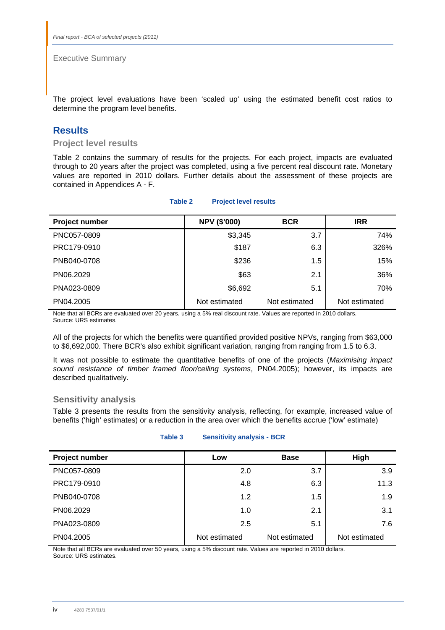The project level evaluations have been 'scaled up' using the estimated benefit cost ratios to determine the program level benefits.

# **Results**

**Project level results** 

Table 2 contains the summary of results for the projects. For each project, impacts are evaluated through to 20 years after the project was completed, using a five percent real discount rate. Monetary values are reported in 2010 dollars. Further details about the assessment of these projects are contained in Appendices A - F.

|  | <b>Project level results</b> | Table 2 |
|--|------------------------------|---------|
|--|------------------------------|---------|

| Project number | <b>NPV (\$'000)</b> | <b>BCR</b>    | <b>IRR</b>    |
|----------------|---------------------|---------------|---------------|
| PNC057-0809    | \$3,345             | 3.7           | 74%           |
| PRC179-0910    | \$187               | 6.3           | 326%          |
| PNB040-0708    | \$236               | 1.5           | 15%           |
| PN06.2029      | \$63                | 2.1           | 36%           |
| PNA023-0809    | \$6,692             | 5.1           | 70%           |
| PN04.2005      | Not estimated       | Not estimated | Not estimated |

Note that all BCRs are evaluated over 20 years, using a 5% real discount rate. Values are reported in 2010 dollars. Source: URS estimates.

All of the projects for which the benefits were quantified provided positive NPVs, ranging from \$63,000 to \$6,692,000. There BCR's also exhibit significant variation, ranging from ranging from 1.5 to 6.3.

It was not possible to estimate the quantitative benefits of one of the projects (*Maximising impact sound resistance of timber framed floor/ceiling systems*, PN04.2005); however, its impacts are described qualitatively.

## **Sensitivity analysis**

Table 3 presents the results from the sensitivity analysis, reflecting, for example, increased value of benefits ('high' estimates) or a reduction in the area over which the benefits accrue ('low' estimate)

| Table 3 | <b>Sensitivity analysis - BCR</b> |
|---------|-----------------------------------|
|         |                                   |

| Project number | Low           | <b>Base</b>   | High          |
|----------------|---------------|---------------|---------------|
| PNC057-0809    | 2.0           | 3.7           | 3.9           |
| PRC179-0910    | 4.8           | 6.3           | 11.3          |
| PNB040-0708    | 1.2           | 1.5           | 1.9           |
| PN06.2029      | 1.0           | 2.1           | 3.1           |
| PNA023-0809    | 2.5           | 5.1           | 7.6           |
| PN04.2005      | Not estimated | Not estimated | Not estimated |

Note that all BCRs are evaluated over 50 years, using a 5% discount rate. Values are reported in 2010 dollars. Source: URS estimates.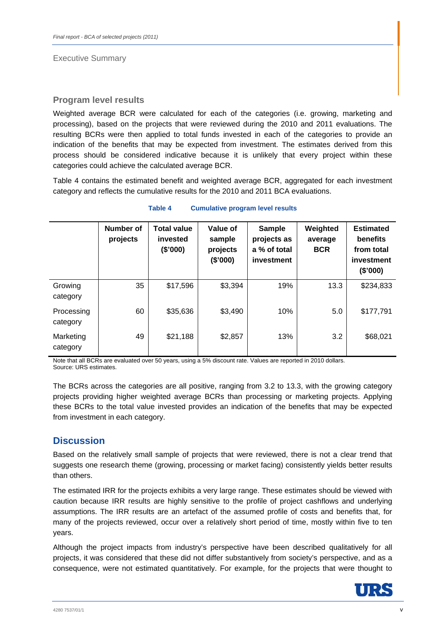## **Program level results**

Weighted average BCR were calculated for each of the categories (i.e. growing, marketing and processing), based on the projects that were reviewed during the 2010 and 2011 evaluations. The resulting BCRs were then applied to total funds invested in each of the categories to provide an indication of the benefits that may be expected from investment. The estimates derived from this process should be considered indicative because it is unlikely that every project within these categories could achieve the calculated average BCR.

Table 4 contains the estimated benefit and weighted average BCR, aggregated for each investment category and reflects the cumulative results for the 2010 and 2011 BCA evaluations.

|                        | Number of<br>projects | <b>Total value</b><br>invested<br>(\$000) | Value of<br>sample<br>projects<br>(\$'000) | <b>Sample</b><br>projects as<br>a % of total<br>investment | Weighted<br>average<br><b>BCR</b> | <b>Estimated</b><br>benefits<br>from total<br>investment<br>(\$'000) |
|------------------------|-----------------------|-------------------------------------------|--------------------------------------------|------------------------------------------------------------|-----------------------------------|----------------------------------------------------------------------|
| Growing<br>category    | 35                    | \$17,596                                  | \$3,394                                    | 19%                                                        | 13.3                              | \$234,833                                                            |
| Processing<br>category | 60                    | \$35,636                                  | \$3,490                                    | 10%                                                        | 5.0                               | \$177,791                                                            |
| Marketing<br>category  | 49                    | \$21,188                                  | \$2,857                                    | 13%                                                        | 3.2                               | \$68,021                                                             |

### **Table 4 Cumulative program level results**

Note that all BCRs are evaluated over 50 years, using a 5% discount rate. Values are reported in 2010 dollars. Source: URS estimates.

The BCRs across the categories are all positive, ranging from 3.2 to 13.3, with the growing category projects providing higher weighted average BCRs than processing or marketing projects. Applying these BCRs to the total value invested provides an indication of the benefits that may be expected from investment in each category.

# **Discussion**

Based on the relatively small sample of projects that were reviewed, there is not a clear trend that suggests one research theme (growing, processing or market facing) consistently yields better results than others.

The estimated IRR for the projects exhibits a very large range. These estimates should be viewed with caution because IRR results are highly sensitive to the profile of project cashflows and underlying assumptions. The IRR results are an artefact of the assumed profile of costs and benefits that, for many of the projects reviewed, occur over a relatively short period of time, mostly within five to ten years.

Although the project impacts from industry's perspective have been described qualitatively for all projects, it was considered that these did not differ substantively from society's perspective, and as a consequence, were not estimated quantitatively. For example, for the projects that were thought to

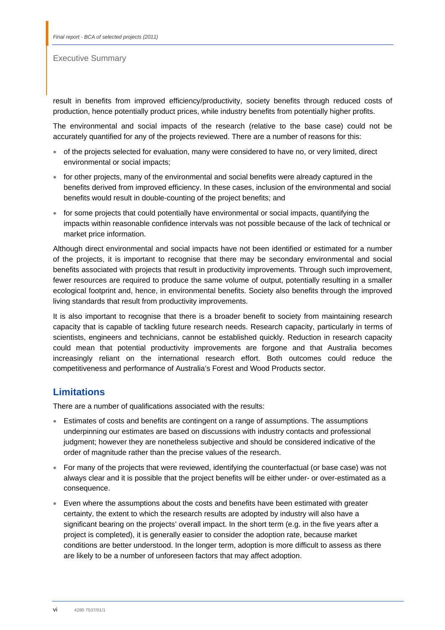result in benefits from improved efficiency/productivity, society benefits through reduced costs of production, hence potentially product prices, while industry benefits from potentially higher profits.

The environmental and social impacts of the research (relative to the base case) could not be accurately quantified for any of the projects reviewed. There are a number of reasons for this:

- of the projects selected for evaluation, many were considered to have no, or very limited, direct environmental or social impacts;
- for other projects, many of the environmental and social benefits were already captured in the benefits derived from improved efficiency. In these cases, inclusion of the environmental and social benefits would result in double-counting of the project benefits; and
- for some projects that could potentially have environmental or social impacts, quantifying the impacts within reasonable confidence intervals was not possible because of the lack of technical or market price information.

Although direct environmental and social impacts have not been identified or estimated for a number of the projects, it is important to recognise that there may be secondary environmental and social benefits associated with projects that result in productivity improvements. Through such improvement, fewer resources are required to produce the same volume of output, potentially resulting in a smaller ecological footprint and, hence, in environmental benefits. Society also benefits through the improved living standards that result from productivity improvements.

It is also important to recognise that there is a broader benefit to society from maintaining research capacity that is capable of tackling future research needs. Research capacity, particularly in terms of scientists, engineers and technicians, cannot be established quickly. Reduction in research capacity could mean that potential productivity improvements are forgone and that Australia becomes increasingly reliant on the international research effort. Both outcomes could reduce the competitiveness and performance of Australia's Forest and Wood Products sector.

# **Limitations**

There are a number of qualifications associated with the results:

- Estimates of costs and benefits are contingent on a range of assumptions. The assumptions underpinning our estimates are based on discussions with industry contacts and professional judgment; however they are nonetheless subjective and should be considered indicative of the order of magnitude rather than the precise values of the research.
- For many of the projects that were reviewed, identifying the counterfactual (or base case) was not always clear and it is possible that the project benefits will be either under- or over-estimated as a consequence.
- Even where the assumptions about the costs and benefits have been estimated with greater certainty, the extent to which the research results are adopted by industry will also have a significant bearing on the projects' overall impact. In the short term (e.g. in the five years after a project is completed), it is generally easier to consider the adoption rate, because market conditions are better understood. In the longer term, adoption is more difficult to assess as there are likely to be a number of unforeseen factors that may affect adoption.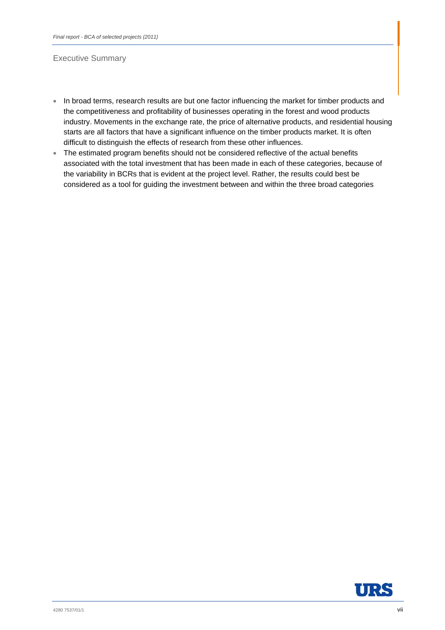- In broad terms, research results are but one factor influencing the market for timber products and the competitiveness and profitability of businesses operating in the forest and wood products industry. Movements in the exchange rate, the price of alternative products, and residential housing starts are all factors that have a significant influence on the timber products market. It is often difficult to distinguish the effects of research from these other influences.
- The estimated program benefits should not be considered reflective of the actual benefits associated with the total investment that has been made in each of these categories, because of the variability in BCRs that is evident at the project level. Rather, the results could best be considered as a tool for guiding the investment between and within the three broad categories

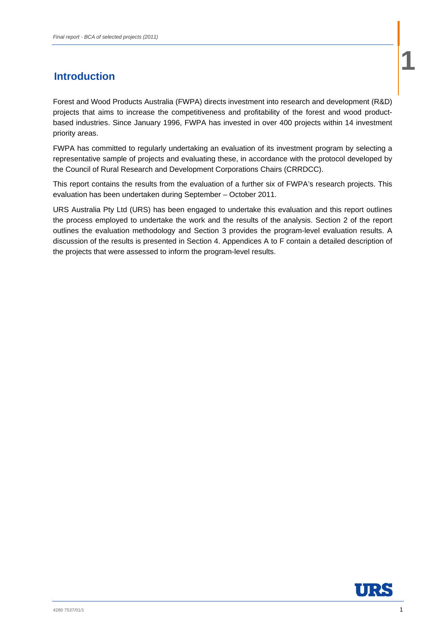# **1** Introduction **1 1** Introduction **1**

Forest and Wood Products Australia (FWPA) directs investment into research and development (R&D) projects that aims to increase the competitiveness and profitability of the forest and wood productbased industries. Since January 1996, FWPA has invested in over 400 projects within 14 investment priority areas.

FWPA has committed to regularly undertaking an evaluation of its investment program by selecting a representative sample of projects and evaluating these, in accordance with the protocol developed by the Council of Rural Research and Development Corporations Chairs (CRRDCC).

This report contains the results from the evaluation of a further six of FWPA's research projects. This evaluation has been undertaken during September – October 2011.

URS Australia Pty Ltd (URS) has been engaged to undertake this evaluation and this report outlines the process employed to undertake the work and the results of the analysis. Section 2 of the report outlines the evaluation methodology and Section 3 provides the program-level evaluation results. A discussion of the results is presented in Section 4. Appendices A to F contain a detailed description of the projects that were assessed to inform the program-level results.

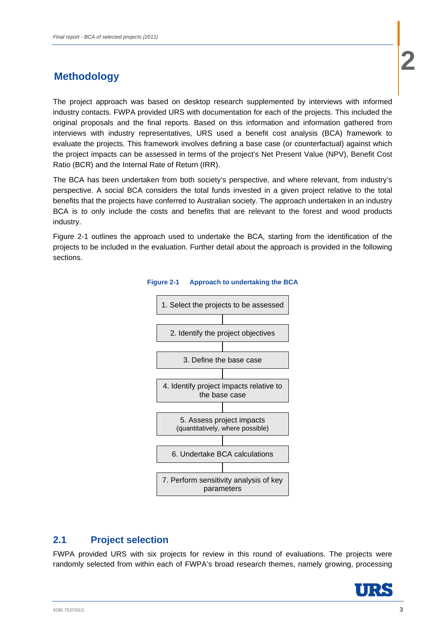The project approach was based on desktop research supplemented by interviews with informed industry contacts. FWPA provided URS with documentation for each of the projects. This included the original proposals and the final reports. Based on this information and information gathered from interviews with industry representatives, URS used a benefit cost analysis (BCA) framework to evaluate the projects. This framework involves defining a base case (or counterfactual) against which the project impacts can be assessed in terms of the project's Net Present Value (NPV), Benefit Cost Ratio (BCR) and the Internal Rate of Return (IRR).

The BCA has been undertaken from both society's perspective, and where relevant, from industry's perspective. A social BCA considers the total funds invested in a given project relative to the total benefits that the projects have conferred to Australian society. The approach undertaken in an industry BCA is to only include the costs and benefits that are relevant to the forest and wood products industry.

Figure 2-1 outlines the approach used to undertake the BCA, starting from the identification of the projects to be included in the evaluation. Further detail about the approach is provided in the following sections.



## **Figure 2-1 Approach to undertaking the BCA**

# **2.1 Project selection**

FWPA provided URS with six projects for review in this round of evaluations. The projects were randomly selected from within each of FWPA's broad research themes, namely growing, processing

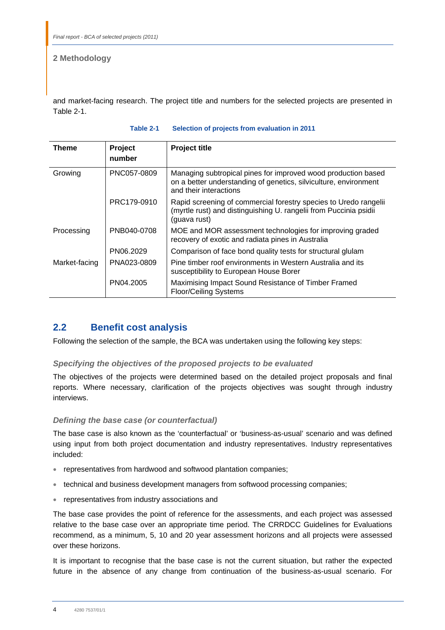and market-facing research. The project title and numbers for the selected projects are presented in Table 2-1.

| Theme         | Project<br>number | <b>Project title</b>                                                                                                                                        |
|---------------|-------------------|-------------------------------------------------------------------------------------------------------------------------------------------------------------|
| Growing       | PNC057-0809       | Managing subtropical pines for improved wood production based<br>on a better understanding of genetics, silviculture, environment<br>and their interactions |
|               | PRC179-0910       | Rapid screening of commercial forestry species to Uredo rangelii<br>(myrtle rust) and distinguishing U. rangelii from Puccinia psidii<br>(guava rust)       |
| Processing    | PNB040-0708       | MOE and MOR assessment technologies for improving graded<br>recovery of exotic and radiata pines in Australia                                               |
|               | PN06.2029         | Comparison of face bond quality tests for structural glulam                                                                                                 |
| Market-facing | PNA023-0809       | Pine timber roof environments in Western Australia and its<br>susceptibility to European House Borer                                                        |
|               | PN04.2005         | Maximising Impact Sound Resistance of Timber Framed<br><b>Floor/Ceiling Systems</b>                                                                         |

## **Table 2-1 Selection of projects from evaluation in 2011**

# **2.2 Benefit cost analysis**

Following the selection of the sample, the BCA was undertaken using the following key steps:

## *Specifying the objectives of the proposed projects to be evaluated*

The objectives of the projects were determined based on the detailed project proposals and final reports. Where necessary, clarification of the projects objectives was sought through industry interviews.

## *Defining the base case (or counterfactual)*

The base case is also known as the 'counterfactual' or 'business-as-usual' scenario and was defined using input from both project documentation and industry representatives. Industry representatives included:

- representatives from hardwood and softwood plantation companies;
- technical and business development managers from softwood processing companies;
- representatives from industry associations and

The base case provides the point of reference for the assessments, and each project was assessed relative to the base case over an appropriate time period. The CRRDCC Guidelines for Evaluations recommend, as a minimum, 5, 10 and 20 year assessment horizons and all projects were assessed over these horizons.

It is important to recognise that the base case is not the current situation, but rather the expected future in the absence of any change from continuation of the business-as-usual scenario. For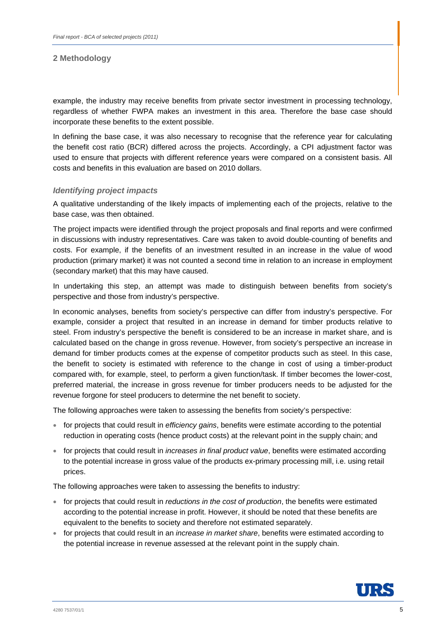example, the industry may receive benefits from private sector investment in processing technology, regardless of whether FWPA makes an investment in this area. Therefore the base case should incorporate these benefits to the extent possible.

In defining the base case, it was also necessary to recognise that the reference year for calculating the benefit cost ratio (BCR) differed across the projects. Accordingly, a CPI adjustment factor was used to ensure that projects with different reference years were compared on a consistent basis. All costs and benefits in this evaluation are based on 2010 dollars.

## *Identifying project impacts*

A qualitative understanding of the likely impacts of implementing each of the projects, relative to the base case, was then obtained.

The project impacts were identified through the project proposals and final reports and were confirmed in discussions with industry representatives. Care was taken to avoid double-counting of benefits and costs. For example, if the benefits of an investment resulted in an increase in the value of wood production (primary market) it was not counted a second time in relation to an increase in employment (secondary market) that this may have caused.

In undertaking this step, an attempt was made to distinguish between benefits from society's perspective and those from industry's perspective.

In economic analyses, benefits from society's perspective can differ from industry's perspective. For example, consider a project that resulted in an increase in demand for timber products relative to steel. From industry's perspective the benefit is considered to be an increase in market share, and is calculated based on the change in gross revenue. However, from society's perspective an increase in demand for timber products comes at the expense of competitor products such as steel. In this case, the benefit to society is estimated with reference to the change in cost of using a timber-product compared with, for example, steel, to perform a given function/task. If timber becomes the lower-cost, preferred material, the increase in gross revenue for timber producers needs to be adjusted for the revenue forgone for steel producers to determine the net benefit to society.

The following approaches were taken to assessing the benefits from society's perspective:

- for projects that could result in *efficiency gains*, benefits were estimate according to the potential reduction in operating costs (hence product costs) at the relevant point in the supply chain; and
- for projects that could result in *increases in final product value*, benefits were estimated according to the potential increase in gross value of the products ex-primary processing mill, i.e. using retail prices.

The following approaches were taken to assessing the benefits to industry:

- for projects that could result in *reductions in the cost of production*, the benefits were estimated according to the potential increase in profit. However, it should be noted that these benefits are equivalent to the benefits to society and therefore not estimated separately.
- for projects that could result in an *increase in market share*, benefits were estimated according to the potential increase in revenue assessed at the relevant point in the supply chain.

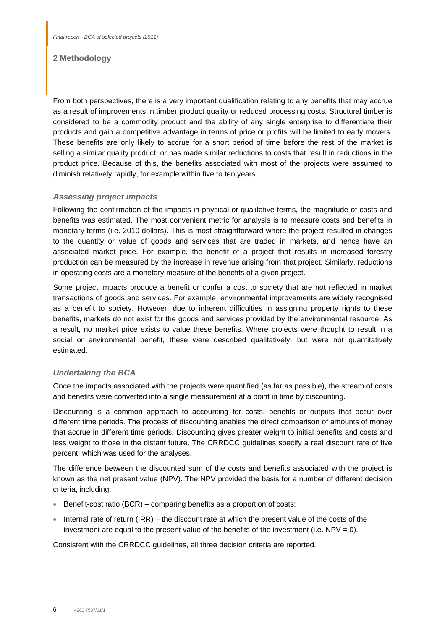From both perspectives, there is a very important qualification relating to any benefits that may accrue as a result of improvements in timber product quality or reduced processing costs. Structural timber is considered to be a commodity product and the ability of any single enterprise to differentiate their products and gain a competitive advantage in terms of price or profits will be limited to early movers. These benefits are only likely to accrue for a short period of time before the rest of the market is selling a similar quality product, or has made similar reductions to costs that result in reductions in the product price. Because of this, the benefits associated with most of the projects were assumed to diminish relatively rapidly, for example within five to ten years.

## *Assessing project impacts*

Following the confirmation of the impacts in physical or qualitative terms, the magnitude of costs and benefits was estimated. The most convenient metric for analysis is to measure costs and benefits in monetary terms (i.e. 2010 dollars). This is most straightforward where the project resulted in changes to the quantity or value of goods and services that are traded in markets, and hence have an associated market price. For example, the benefit of a project that results in increased forestry production can be measured by the increase in revenue arising from that project. Similarly, reductions in operating costs are a monetary measure of the benefits of a given project.

Some project impacts produce a benefit or confer a cost to society that are not reflected in market transactions of goods and services. For example, environmental improvements are widely recognised as a benefit to society. However, due to inherent difficulties in assigning property rights to these benefits, markets do not exist for the goods and services provided by the environmental resource. As a result, no market price exists to value these benefits. Where projects were thought to result in a social or environmental benefit, these were described qualitatively, but were not quantitatively estimated.

## *Undertaking the BCA*

Once the impacts associated with the projects were quantified (as far as possible), the stream of costs and benefits were converted into a single measurement at a point in time by discounting.

Discounting is a common approach to accounting for costs, benefits or outputs that occur over different time periods. The process of discounting enables the direct comparison of amounts of money that accrue in different time periods. Discounting gives greater weight to initial benefits and costs and less weight to those in the distant future. The CRRDCC guidelines specify a real discount rate of five percent, which was used for the analyses.

The difference between the discounted sum of the costs and benefits associated with the project is known as the net present value (NPV). The NPV provided the basis for a number of different decision criteria, including:

- Benefit-cost ratio  $(BCR)$  comparing benefits as a proportion of costs;
- Internal rate of return (IRR) the discount rate at which the present value of the costs of the investment are equal to the present value of the benefits of the investment (i.e.  $NPV = 0$ ).

Consistent with the CRRDCC guidelines, all three decision criteria are reported.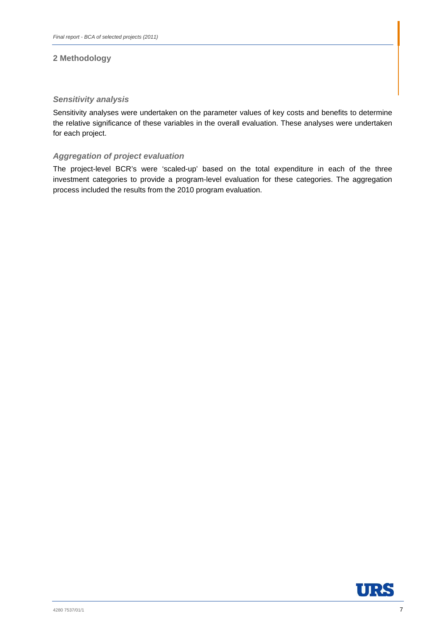## *Sensitivity analysis*

Sensitivity analyses were undertaken on the parameter values of key costs and benefits to determine the relative significance of these variables in the overall evaluation. These analyses were undertaken for each project.

## *Aggregation of project evaluation*

The project-level BCR's were 'scaled-up' based on the total expenditure in each of the three investment categories to provide a program-level evaluation for these categories. The aggregation process included the results from the 2010 program evaluation.

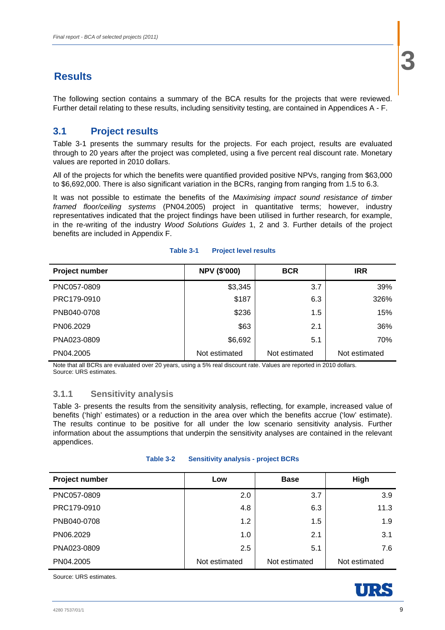The following section contains a summary of the BCA results for the projects that were reviewed. Further detail relating to these results, including sensitivity testing, are contained in Appendices A - F.

# **3.1 Project results**

Table 3-1 presents the summary results for the projects. For each project, results are evaluated through to 20 years after the project was completed, using a five percent real discount rate. Monetary values are reported in 2010 dollars.

All of the projects for which the benefits were quantified provided positive NPVs, ranging from \$63,000 to \$6,692,000. There is also significant variation in the BCRs, ranging from ranging from 1.5 to 6.3.

It was not possible to estimate the benefits of the *Maximising impact sound resistance of timber framed floor/ceiling systems* (PN04.2005) project in quantitative terms; however, industry representatives indicated that the project findings have been utilised in further research, for example, in the re-writing of the industry *Wood Solutions Guides* 1, 2 and 3. Further details of the project benefits are included in Appendix F.

| Project number | <b>NPV (\$'000)</b> | <b>BCR</b>    | <b>IRR</b>    |
|----------------|---------------------|---------------|---------------|
| PNC057-0809    | \$3,345             | 3.7           | 39%           |
| PRC179-0910    | \$187               | 6.3           | 326%          |
| PNB040-0708    | \$236               | 1.5           | 15%           |
| PN06.2029      | \$63                | 2.1           | 36%           |
| PNA023-0809    | \$6,692             | 5.1           | 70%           |
| PN04.2005      | Not estimated       | Not estimated | Not estimated |

## **Table 3-1 Project level results**

Note that all BCRs are evaluated over 20 years, using a 5% real discount rate. Values are reported in 2010 dollars. Source: URS estimates.

# **3.1.1 Sensitivity analysis**

Table 3- presents the results from the sensitivity analysis, reflecting, for example, increased value of benefits ('high' estimates) or a reduction in the area over which the benefits accrue ('low' estimate). The results continue to be positive for all under the low scenario sensitivity analysis. Further information about the assumptions that underpin the sensitivity analyses are contained in the relevant appendices.

| Table 3-2 |  |  | <b>Sensitivity analysis - project BCRs</b> |
|-----------|--|--|--------------------------------------------|
|-----------|--|--|--------------------------------------------|

| <b>Project number</b> | Low           | <b>Base</b>   | High          |
|-----------------------|---------------|---------------|---------------|
| PNC057-0809           | 2.0           | 3.7           | 3.9           |
| PRC179-0910           | 4.8           | 6.3           | 11.3          |
| PNB040-0708           | 1.2           | 1.5           | 1.9           |
| PN06.2029             | 1.0           | 2.1           | 3.1           |
| PNA023-0809           | 2.5           | 5.1           | 7.6           |
| PN04.2005             | Not estimated | Not estimated | Not estimated |

Source: URS estimates.

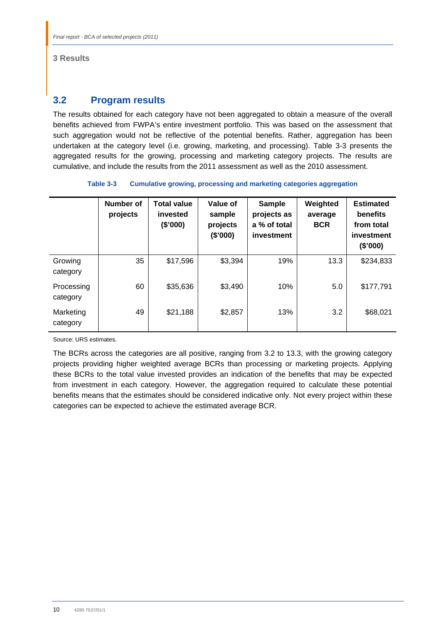## **3 Results**

# **3.2 Program results**

The results obtained for each category have not been aggregated to obtain a measure of the overall benefits achieved from FWPA's entire investment portfolio. This was based on the assessment that such aggregation would not be reflective of the potential benefits. Rather, aggregation has been undertaken at the category level (i.e. growing, marketing, and processing). Table 3-3 presents the aggregated results for the growing, processing and marketing category projects. The results are cumulative, and include the results from the 2011 assessment as well as the 2010 assessment.

| Table 3-3 | Cumulative growing, processing and marketing categories aggregation |
|-----------|---------------------------------------------------------------------|
|-----------|---------------------------------------------------------------------|

|                        | <b>Number of</b><br>projects | <b>Total value</b><br>invested<br>(\$'000) | Value of<br>sample<br>projects<br>(\$'000) | <b>Sample</b><br>projects as<br>a % of total<br>investment | Weighted<br>average<br><b>BCR</b> | <b>Estimated</b><br>benefits<br>from total<br>investment<br>(\$'000) |
|------------------------|------------------------------|--------------------------------------------|--------------------------------------------|------------------------------------------------------------|-----------------------------------|----------------------------------------------------------------------|
| Growing<br>category    | 35                           | \$17,596                                   | \$3,394                                    | 19%                                                        | 13.3                              | \$234,833                                                            |
| Processing<br>category | 60                           | \$35,636                                   | \$3,490                                    | 10%                                                        | 5.0                               | \$177,791                                                            |
| Marketing<br>category  | 49                           | \$21,188                                   | \$2,857                                    | 13%                                                        | 3.2                               | \$68,021                                                             |

Source: URS estimates.

The BCRs across the categories are all positive, ranging from 3.2 to 13.3, with the growing category projects providing higher weighted average BCRs than processing or marketing projects. Applying these BCRs to the total value invested provides an indication of the benefits that may be expected from investment in each category. However, the aggregation required to calculate these potential benefits means that the estimates should be considered indicative only. Not every project within these categories can be expected to achieve the estimated average BCR.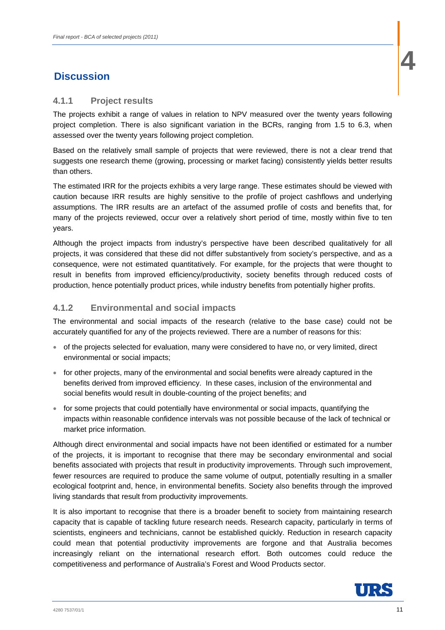# **1 4** Discussion **1 4** Discussion **1 4** Discussion **1**

## **4.1.1 Project results**

The projects exhibit a range of values in relation to NPV measured over the twenty years following project completion. There is also significant variation in the BCRs, ranging from 1.5 to 6.3, when assessed over the twenty years following project completion.

Based on the relatively small sample of projects that were reviewed, there is not a clear trend that suggests one research theme (growing, processing or market facing) consistently yields better results than others.

The estimated IRR for the projects exhibits a very large range. These estimates should be viewed with caution because IRR results are highly sensitive to the profile of project cashflows and underlying assumptions. The IRR results are an artefact of the assumed profile of costs and benefits that, for many of the projects reviewed, occur over a relatively short period of time, mostly within five to ten years.

Although the project impacts from industry's perspective have been described qualitatively for all projects, it was considered that these did not differ substantively from society's perspective, and as a consequence, were not estimated quantitatively. For example, for the projects that were thought to result in benefits from improved efficiency/productivity, society benefits through reduced costs of production, hence potentially product prices, while industry benefits from potentially higher profits.

## **4.1.2 Environmental and social impacts**

The environmental and social impacts of the research (relative to the base case) could not be accurately quantified for any of the projects reviewed. There are a number of reasons for this:

- of the projects selected for evaluation, many were considered to have no, or very limited, direct environmental or social impacts;
- for other projects, many of the environmental and social benefits were already captured in the benefits derived from improved efficiency. In these cases, inclusion of the environmental and social benefits would result in double-counting of the project benefits; and
- for some projects that could potentially have environmental or social impacts, quantifying the impacts within reasonable confidence intervals was not possible because of the lack of technical or market price information.

Although direct environmental and social impacts have not been identified or estimated for a number of the projects, it is important to recognise that there may be secondary environmental and social benefits associated with projects that result in productivity improvements. Through such improvement, fewer resources are required to produce the same volume of output, potentially resulting in a smaller ecological footprint and, hence, in environmental benefits. Society also benefits through the improved living standards that result from productivity improvements.

It is also important to recognise that there is a broader benefit to society from maintaining research capacity that is capable of tackling future research needs. Research capacity, particularly in terms of scientists, engineers and technicians, cannot be established quickly. Reduction in research capacity could mean that potential productivity improvements are forgone and that Australia becomes increasingly reliant on the international research effort. Both outcomes could reduce the competitiveness and performance of Australia's Forest and Wood Products sector.

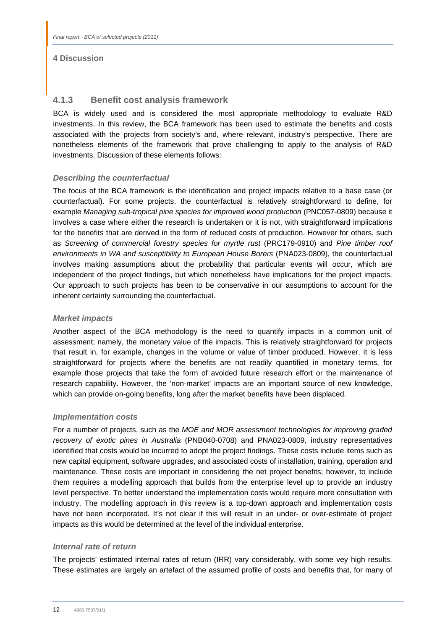## **4 Discussion**

## **4.1.3 Benefit cost analysis framework**

BCA is widely used and is considered the most appropriate methodology to evaluate R&D investments. In this review, the BCA framework has been used to estimate the benefits and costs associated with the projects from society's and, where relevant, industry's perspective. There are nonetheless elements of the framework that prove challenging to apply to the analysis of R&D investments. Discussion of these elements follows:

## *Describing the counterfactual*

The focus of the BCA framework is the identification and project impacts relative to a base case (or counterfactual). For some projects, the counterfactual is relatively straightforward to define, for example *Managing sub-tropical pine species for improved wood production* (PNC057-0809) because it involves a case where either the research is undertaken or it is not, with straightforward implications for the benefits that are derived in the form of reduced costs of production. However for others, such as *Screening of commercial forestry species for myrtle rust* (PRC179-0910) and *Pine timber roof environments in WA and susceptibility to European House Borers* (PNA023-0809), the counterfactual involves making assumptions about the probability that particular events will occur, which are independent of the project findings, but which nonetheless have implications for the project impacts. Our approach to such projects has been to be conservative in our assumptions to account for the inherent certainty surrounding the counterfactual.

## *Market impacts*

Another aspect of the BCA methodology is the need to quantify impacts in a common unit of assessment; namely, the monetary value of the impacts. This is relatively straightforward for projects that result in, for example, changes in the volume or value of timber produced. However, it is less straightforward for projects where the benefits are not readily quantified in monetary terms, for example those projects that take the form of avoided future research effort or the maintenance of research capability. However, the 'non-market' impacts are an important source of new knowledge, which can provide on-going benefits, long after the market benefits have been displaced.

## *Implementation costs*

For a number of projects, such as the *MOE and MOR assessment technologies for improving graded recovery of exotic pines in Australia* (PNB040-0708) and PNA023-0809, industry representatives identified that costs would be incurred to adopt the project findings. These costs include items such as new capital equipment, software upgrades, and associated costs of installation, training, operation and maintenance. These costs are important in considering the net project benefits; however, to include them requires a modelling approach that builds from the enterprise level up to provide an industry level perspective. To better understand the implementation costs would require more consultation with industry. The modelling approach in this review is a top-down approach and implementation costs have not been incorporated. It's not clear if this will result in an under- or over-estimate of project impacts as this would be determined at the level of the individual enterprise.

## *Internal rate of return*

The projects' estimated internal rates of return (IRR) vary considerably, with some vey high results. These estimates are largely an artefact of the assumed profile of costs and benefits that, for many of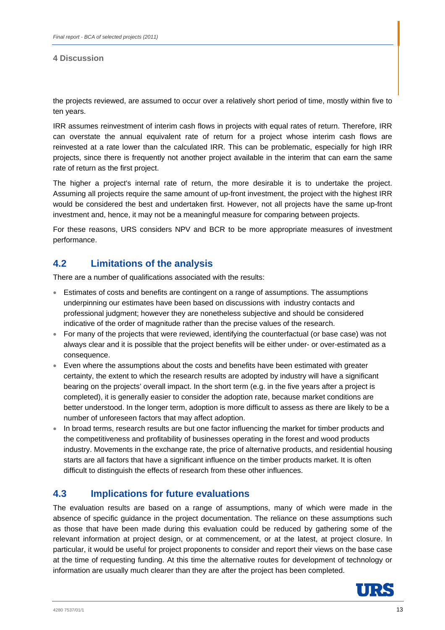## **4 Discussion**

the projects reviewed, are assumed to occur over a relatively short period of time, mostly within five to ten years.

IRR assumes reinvestment of interim cash flows in projects with equal rates of return. Therefore, IRR can overstate the annual equivalent rate of return for a project whose interim cash flows are reinvested at a rate lower than the calculated IRR. This can be problematic, especially for high IRR projects, since there is frequently not another project available in the interim that can earn the same rate of return as the first project.

The higher a project's internal rate of return, the more desirable it is to undertake the project. Assuming all projects require the same amount of up-front investment, the project with the highest IRR would be considered the best and undertaken first. However, not all projects have the same up-front investment and, hence, it may not be a meaningful measure for comparing between projects.

For these reasons, URS considers NPV and BCR to be more appropriate measures of investment performance.

# **4.2 Limitations of the analysis**

There are a number of qualifications associated with the results:

- Estimates of costs and benefits are contingent on a range of assumptions. The assumptions underpinning our estimates have been based on discussions with industry contacts and professional judgment; however they are nonetheless subjective and should be considered indicative of the order of magnitude rather than the precise values of the research.
- For many of the projects that were reviewed, identifying the counterfactual (or base case) was not always clear and it is possible that the project benefits will be either under- or over-estimated as a consequence.
- Even where the assumptions about the costs and benefits have been estimated with greater certainty, the extent to which the research results are adopted by industry will have a significant bearing on the projects' overall impact. In the short term (e.g. in the five years after a project is completed), it is generally easier to consider the adoption rate, because market conditions are better understood. In the longer term, adoption is more difficult to assess as there are likely to be a number of unforeseen factors that may affect adoption.
- In broad terms, research results are but one factor influencing the market for timber products and the competitiveness and profitability of businesses operating in the forest and wood products industry. Movements in the exchange rate, the price of alternative products, and residential housing starts are all factors that have a significant influence on the timber products market. It is often difficult to distinguish the effects of research from these other influences.

# **4.3 Implications for future evaluations**

The evaluation results are based on a range of assumptions, many of which were made in the absence of specific guidance in the project documentation. The reliance on these assumptions such as those that have been made during this evaluation could be reduced by gathering some of the relevant information at project design, or at commencement, or at the latest, at project closure. In particular, it would be useful for project proponents to consider and report their views on the base case at the time of requesting funding. At this time the alternative routes for development of technology or information are usually much clearer than they are after the project has been completed.

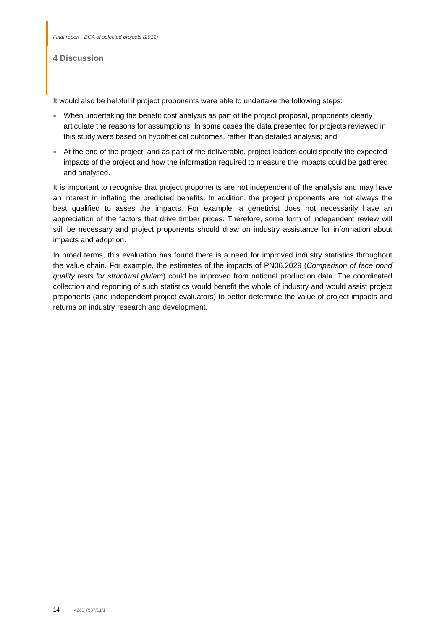## **4 Discussion**

It would also be helpful if project proponents were able to undertake the following steps:

- When undertaking the benefit cost analysis as part of the project proposal, proponents clearly articulate the reasons for assumptions. In some cases the data presented for projects reviewed in this study were based on hypothetical outcomes, rather than detailed analysis; and
- At the end of the project, and as part of the deliverable, project leaders could specify the expected impacts of the project and how the information required to measure the impacts could be gathered and analysed.

It is important to recognise that project proponents are not independent of the analysis and may have an interest in inflating the predicted benefits. In addition, the project proponents are not always the best qualified to asses the impacts. For example, a geneticist does not necessarily have an appreciation of the factors that drive timber prices. Therefore, some form of independent review will still be necessary and project proponents should draw on industry assistance for information about impacts and adoption.

In broad terms, this evaluation has found there is a need for improved industry statistics throughout the value chain. For example, the estimates of the impacts of PN06.2029 (*Comparison of face bond quality tests for structural glulam*) could be improved from national production data. The coordinated collection and reporting of such statistics would benefit the whole of industry and would assist project proponents (and independent project evaluators) to better determine the value of project impacts and returns on industry research and development.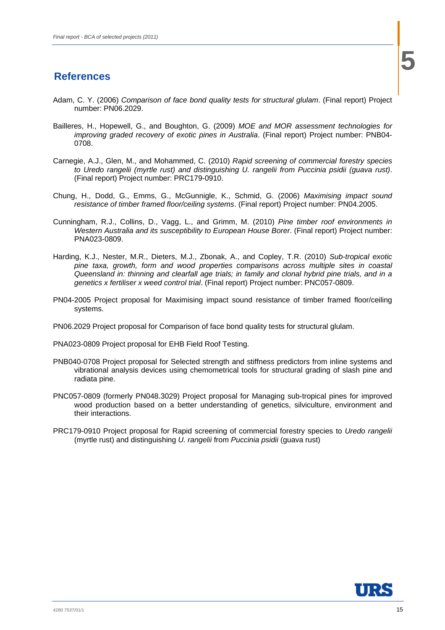# **5 5 References**

- Adam, C. Y. (2006) *Comparison of face bond quality tests for structural glulam*. (Final report) Project number: PN06.2029.
- Bailleres, H., Hopewell, G., and Boughton, G. (2009) *MOE and MOR assessment technologies for improving graded recovery of exotic pines in Australia*. (Final report) Project number: PNB04- 0708.
- Carnegie, A.J., Glen, M., and Mohammed, C. (2010) *Rapid screening of commercial forestry species to Uredo rangelii (myrtle rust) and distinguishing U. rangelii from Puccinia psidii (guava rust)*. (Final report) Project number: PRC179-0910.
- Chung, H., Dodd, G., Emms, G., McGunnigle, K., Schmid, G. (2006) *Maximising impact sound resistance of timber framed floor/ceiling systems*. (Final report) Project number: PN04.2005.
- Cunningham, R.J., Collins, D., Vagg, L., and Grimm, M. (2010) *Pine timber roof environments in Western Australia and its susceptibility to European House Borer*. (Final report) Project number: PNA023-0809.
- Harding, K.J., Nester, M.R., Dieters, M.J., Zbonak, A., and Copley, T.R. (2010) *Sub-tropical exotic pine taxa, growth, form and wood properties comparisons across multiple sites in coastal Queensland in: thinning and clearfall age trials; in family and clonal hybrid pine trials, and in a genetics x fertiliser x weed control trial*. (Final report) Project number: PNC057-0809.
- PN04-2005 Project proposal for Maximising impact sound resistance of timber framed floor/ceiling systems.
- PN06.2029 Project proposal for Comparison of face bond quality tests for structural glulam.
- PNA023-0809 Project proposal for EHB Field Roof Testing.
- PNB040-0708 Project proposal for Selected strength and stiffness predictors from inline systems and vibrational analysis devices using chemometrical tools for structural grading of slash pine and radiata pine.
- PNC057-0809 (formerly PN048.3029) Project proposal for Managing sub-tropical pines for improved wood production based on a better understanding of genetics, silviculture, environment and their interactions.
- PRC179-0910 Project proposal for Rapid screening of commercial forestry species to *Uredo rangelii* (myrtle rust) and distinguishing *U. rangelii* from *Puccinia psidii* (guava rust)

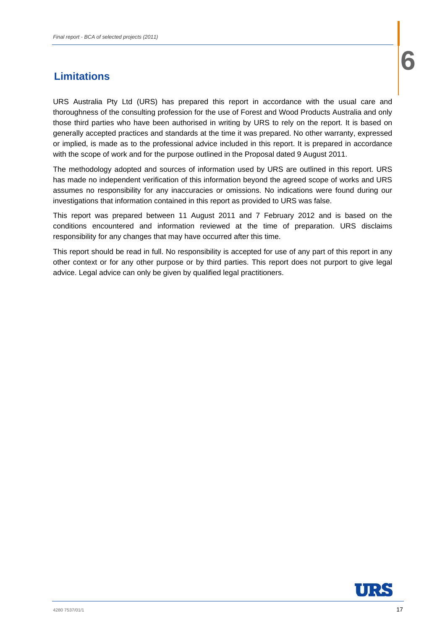# **6 6 Limitations**

URS Australia Pty Ltd (URS) has prepared this report in accordance with the usual care and thoroughness of the consulting profession for the use of Forest and Wood Products Australia and only those third parties who have been authorised in writing by URS to rely on the report. It is based on generally accepted practices and standards at the time it was prepared. No other warranty, expressed or implied, is made as to the professional advice included in this report. It is prepared in accordance with the scope of work and for the purpose outlined in the Proposal dated 9 August 2011.

The methodology adopted and sources of information used by URS are outlined in this report. URS has made no independent verification of this information beyond the agreed scope of works and URS assumes no responsibility for any inaccuracies or omissions. No indications were found during our investigations that information contained in this report as provided to URS was false.

This report was prepared between 11 August 2011 and 7 February 2012 and is based on the conditions encountered and information reviewed at the time of preparation. URS disclaims responsibility for any changes that may have occurred after this time.

This report should be read in full. No responsibility is accepted for use of any part of this report in any other context or for any other purpose or by third parties. This report does not purport to give legal advice. Legal advice can only be given by qualified legal practitioners.

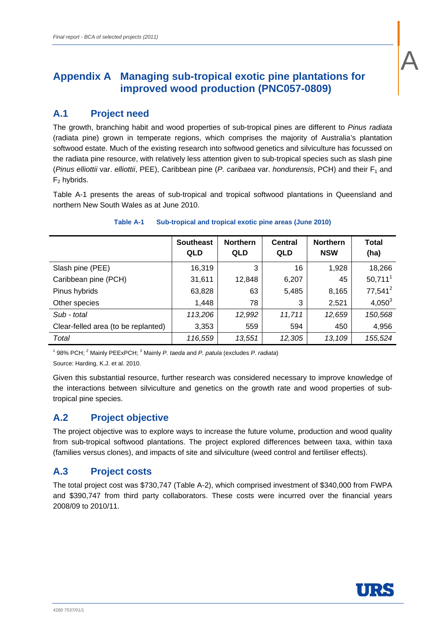# **Appendix A Managing sub-tropical exotic pine plantations for improved wood production (PNC057-0809)**

# **A.1 Project need**

The growth, branching habit and wood properties of sub-tropical pines are different to *Pinus radiata*  (radiata pine) grown in temperate regions, which comprises the majority of Australia's plantation softwood estate. Much of the existing research into softwood genetics and silviculture has focussed on the radiata pine resource, with relatively less attention given to sub-tropical species such as slash pine (*Pinus elliottii* var. *elliottii*, PEE), Caribbean pine (*P. caribaea* var. *hondurensis*, PCH) and their F1 and  $F<sub>2</sub>$  hybrids.

Table A-1 presents the areas of sub-tropical and tropical softwood plantations in Queensland and northern New South Wales as at June 2010.

|                                     | <b>Southeast</b><br><b>QLD</b> | <b>Northern</b><br><b>QLD</b> | Central<br><b>QLD</b> | <b>Northern</b><br><b>NSW</b> | <b>Total</b><br>(ha) |
|-------------------------------------|--------------------------------|-------------------------------|-----------------------|-------------------------------|----------------------|
| Slash pine (PEE)                    | 16,319                         | 3                             | 16                    | 1,928                         | 18,266               |
| Caribbean pine (PCH)                | 31,611                         | 12,848                        | 6,207                 | 45                            | $50,711^1$           |
| Pinus hybrids                       | 63,828                         | 63                            | 5,485                 | 8,165                         | $77,541^2$           |
| Other species                       | 1,448                          | 78                            | 3                     | 2,521                         | $4,050^3$            |
| Sub - total                         | 113,206                        | 12,992                        | 11,711                | 12,659                        | 150,568              |
| Clear-felled area (to be replanted) | 3,353                          | 559                           | 594                   | 450                           | 4,956                |
| Total                               | 116,559                        | 13,551                        | 12,305                | 13,109                        | 155,524              |

## **Table A-1 Sub-tropical and tropical exotic pine areas (June 2010)**

<sup>1</sup> 98% PCH; <sup>2</sup> Mainly PEExPCH; <sup>3</sup> Mainly *P. taeda* and *P. patula* (excludes *P. radiata*) Source: Harding, K.J. et al. 2010.

Given this substantial resource, further research was considered necessary to improve knowledge of the interactions between silviculture and genetics on the growth rate and wood properties of subtropical pine species.

# **A.2 Project objective**

The project objective was to explore ways to increase the future volume, production and wood quality from sub-tropical softwood plantations. The project explored differences between taxa, within taxa (families versus clones), and impacts of site and silviculture (weed control and fertiliser effects).

# **A.3 Project costs**

The total project cost was \$730,747 (Table A-2), which comprised investment of \$340,000 from FWPA and \$390,747 from third party collaborators. These costs were incurred over the financial years 2008/09 to 2010/11.



A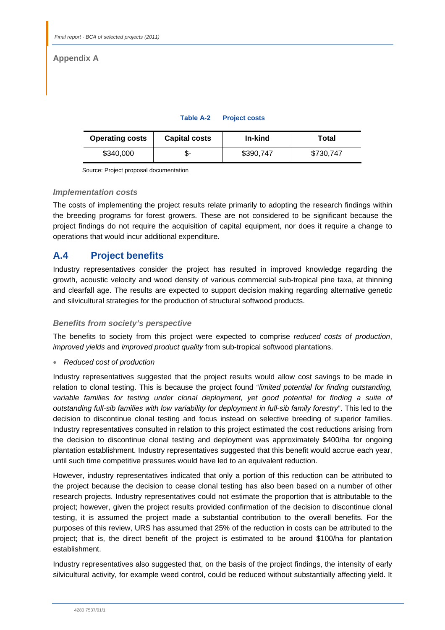# **Appendix A**

| Table A-2 | <b>Project costs</b> |
|-----------|----------------------|

| <b>Operating costs</b> | <b>Capital costs</b> | In-kind   | Total     |
|------------------------|----------------------|-----------|-----------|
| \$340,000              | ა-                   | \$390.747 | \$730,747 |

Source: Project proposal documentation

## *Implementation costs*

The costs of implementing the project results relate primarily to adopting the research findings within the breeding programs for forest growers. These are not considered to be significant because the project findings do not require the acquisition of capital equipment, nor does it require a change to operations that would incur additional expenditure.

# **A.4 Project benefits**

Industry representatives consider the project has resulted in improved knowledge regarding the growth, acoustic velocity and wood density of various commercial sub-tropical pine taxa, at thinning and clearfall age. The results are expected to support decision making regarding alternative genetic and silvicultural strategies for the production of structural softwood products.

## *Benefits from society's perspective*

The benefits to society from this project were expected to comprise *reduced costs of production*, *improved yields* and *improved product quality* from sub-tropical softwood plantations.

*Reduced cost of production* 

Industry representatives suggested that the project results would allow cost savings to be made in relation to clonal testing. This is because the project found "*limited potential for finding outstanding,*  variable families for testing under clonal deployment, yet good potential for finding a suite of *outstanding full-sib families with low variability for deployment in full-sib family forestry*". This led to the decision to discontinue clonal testing and focus instead on selective breeding of superior families. Industry representatives consulted in relation to this project estimated the cost reductions arising from the decision to discontinue clonal testing and deployment was approximately \$400/ha for ongoing plantation establishment. Industry representatives suggested that this benefit would accrue each year, until such time competitive pressures would have led to an equivalent reduction.

However, industry representatives indicated that only a portion of this reduction can be attributed to the project because the decision to cease clonal testing has also been based on a number of other research projects. Industry representatives could not estimate the proportion that is attributable to the project; however, given the project results provided confirmation of the decision to discontinue clonal testing, it is assumed the project made a substantial contribution to the overall benefits. For the purposes of this review, URS has assumed that 25% of the reduction in costs can be attributed to the project; that is, the direct benefit of the project is estimated to be around \$100/ha for plantation establishment.

Industry representatives also suggested that, on the basis of the project findings, the intensity of early silvicultural activity, for example weed control, could be reduced without substantially affecting yield. It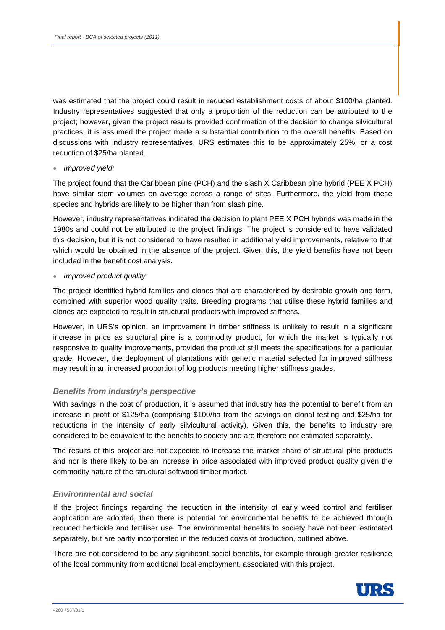was estimated that the project could result in reduced establishment costs of about \$100/ha planted. Industry representatives suggested that only a proportion of the reduction can be attributed to the project; however, given the project results provided confirmation of the decision to change silvicultural practices, it is assumed the project made a substantial contribution to the overall benefits. Based on discussions with industry representatives, URS estimates this to be approximately 25%, or a cost reduction of \$25/ha planted.

## *Improved yield:*

The project found that the Caribbean pine (PCH) and the slash X Caribbean pine hybrid (PEE X PCH) have similar stem volumes on average across a range of sites. Furthermore, the yield from these species and hybrids are likely to be higher than from slash pine.

However, industry representatives indicated the decision to plant PEE X PCH hybrids was made in the 1980s and could not be attributed to the project findings. The project is considered to have validated this decision, but it is not considered to have resulted in additional yield improvements, relative to that which would be obtained in the absence of the project. Given this, the yield benefits have not been included in the benefit cost analysis.

*Improved product quality:* 

The project identified hybrid families and clones that are characterised by desirable growth and form, combined with superior wood quality traits. Breeding programs that utilise these hybrid families and clones are expected to result in structural products with improved stiffness.

However, in URS's opinion, an improvement in timber stiffness is unlikely to result in a significant increase in price as structural pine is a commodity product, for which the market is typically not responsive to quality improvements, provided the product still meets the specifications for a particular grade. However, the deployment of plantations with genetic material selected for improved stiffness may result in an increased proportion of log products meeting higher stiffness grades.

## *Benefits from industry's perspective*

With savings in the cost of production, it is assumed that industry has the potential to benefit from an increase in profit of \$125/ha (comprising \$100/ha from the savings on clonal testing and \$25/ha for reductions in the intensity of early silvicultural activity). Given this, the benefits to industry are considered to be equivalent to the benefits to society and are therefore not estimated separately.

The results of this project are not expected to increase the market share of structural pine products and nor is there likely to be an increase in price associated with improved product quality given the commodity nature of the structural softwood timber market.

## *Environmental and social*

If the project findings regarding the reduction in the intensity of early weed control and fertiliser application are adopted, then there is potential for environmental benefits to be achieved through reduced herbicide and fertiliser use. The environmental benefits to society have not been estimated separately, but are partly incorporated in the reduced costs of production, outlined above.

There are not considered to be any significant social benefits, for example through greater resilience of the local community from additional local employment, associated with this project.

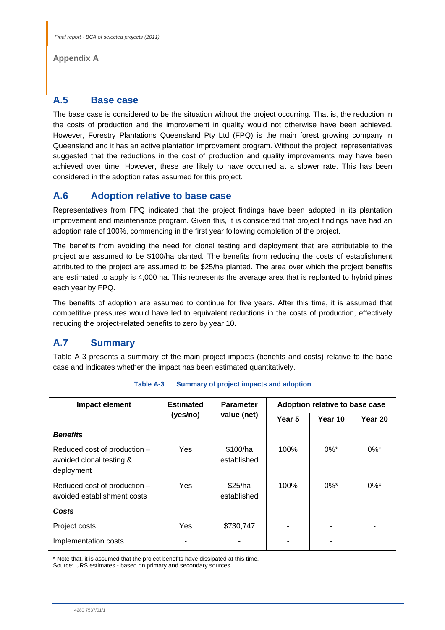**Appendix A** 

# **A.5 Base case**

The base case is considered to be the situation without the project occurring. That is, the reduction in the costs of production and the improvement in quality would not otherwise have been achieved. However, Forestry Plantations Queensland Pty Ltd (FPQ) is the main forest growing company in Queensland and it has an active plantation improvement program. Without the project, representatives suggested that the reductions in the cost of production and quality improvements may have been achieved over time. However, these are likely to have occurred at a slower rate. This has been considered in the adoption rates assumed for this project.

# **A.6 Adoption relative to base case**

Representatives from FPQ indicated that the project findings have been adopted in its plantation improvement and maintenance program. Given this, it is considered that project findings have had an adoption rate of 100%, commencing in the first year following completion of the project.

The benefits from avoiding the need for clonal testing and deployment that are attributable to the project are assumed to be \$100/ha planted. The benefits from reducing the costs of establishment attributed to the project are assumed to be \$25/ha planted. The area over which the project benefits are estimated to apply is 4,000 ha. This represents the average area that is replanted to hybrid pines each year by FPQ.

The benefits of adoption are assumed to continue for five years. After this time, it is assumed that competitive pressures would have led to equivalent reductions in the costs of production, effectively reducing the project-related benefits to zero by year 10.

# **A.7 Summary**

Table A-3 presents a summary of the main project impacts (benefits and costs) relative to the base case and indicates whether the impact has been estimated quantitatively.

| Impact element                                                         | <b>Estimated</b> | <b>Parameter</b>        | Adoption relative to base case |                    |                    |
|------------------------------------------------------------------------|------------------|-------------------------|--------------------------------|--------------------|--------------------|
|                                                                        | (yes/no)         | value (net)             | Year 5                         | Year 10            | Year 20            |
| <b>Benefits</b>                                                        |                  |                         |                                |                    |                    |
| Reduced cost of production -<br>avoided clonal testing &<br>deployment | Yes              | \$100/ha<br>established | 100%                           | $0\%$ <sup>*</sup> | $0\%$ <sup>*</sup> |
| Reduced cost of production -<br>avoided establishment costs            | Yes              | \$25/ha<br>established  | 100%                           | $0\%$ <sup>*</sup> | $0\%$ <sup>*</sup> |
| Costs                                                                  |                  |                         |                                |                    |                    |
| Project costs                                                          | Yes              | \$730,747               |                                |                    |                    |
| Implementation costs                                                   |                  |                         |                                |                    |                    |

**Table A-3 Summary of project impacts and adoption** 

\* Note that, it is assumed that the project benefits have dissipated at this time.

Source: URS estimates - based on primary and secondary sources.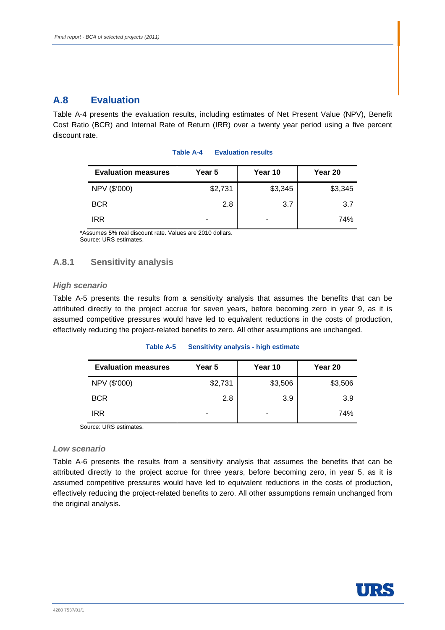# **A.8 Evaluation**

Table A-4 presents the evaluation results, including estimates of Net Present Value (NPV), Benefit Cost Ratio (BCR) and Internal Rate of Return (IRR) over a twenty year period using a five percent discount rate.

| <b>Evaluation measures</b> | Year 5  | Year 10 | Year 20 |
|----------------------------|---------|---------|---------|
| NPV (\$'000)               | \$2,731 | \$3,345 | \$3,345 |
| <b>BCR</b>                 | 2.8     | 3.7     | 3.7     |
| <b>IRR</b>                 |         |         | 74%     |

### **Table A-4 Evaluation results**

\*Assumes 5% real discount rate. Values are 2010 dollars. Source: URS estimates.

## **A.8.1 Sensitivity analysis**

## *High scenario*

Table A-5 presents the results from a sensitivity analysis that assumes the benefits that can be attributed directly to the project accrue for seven years, before becoming zero in year 9, as it is assumed competitive pressures would have led to equivalent reductions in the costs of production, effectively reducing the project-related benefits to zero. All other assumptions are unchanged.

#### **Table A-5 Sensitivity analysis - high estimate**

| <b>Evaluation measures</b> | Year 5  | Year 10 | Year 20 |
|----------------------------|---------|---------|---------|
| NPV (\$'000)               | \$2,731 | \$3,506 | \$3,506 |
| <b>BCR</b>                 | 2.8     | 3.9     | 3.9     |
| <b>IRR</b>                 | -       |         | 74%     |

Source: URS estimates.

## *Low scenario*

Table A-6 presents the results from a sensitivity analysis that assumes the benefits that can be attributed directly to the project accrue for three years, before becoming zero, in year 5, as it is assumed competitive pressures would have led to equivalent reductions in the costs of production, effectively reducing the project-related benefits to zero. All other assumptions remain unchanged from the original analysis.

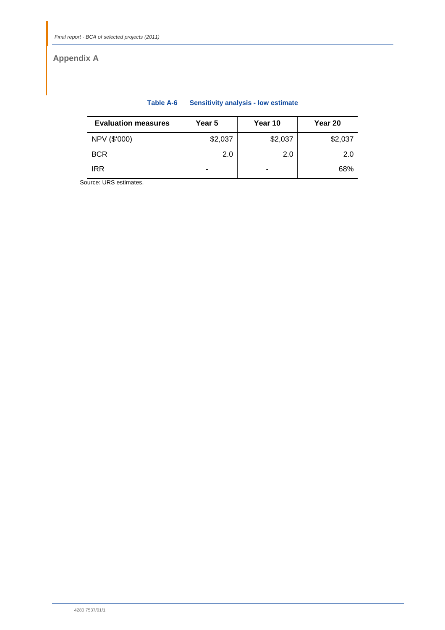# **Appendix A**

| <b>Evaluation measures</b> | Year 5  | Year 10 | Year 20 |
|----------------------------|---------|---------|---------|
| NPV (\$'000)               | \$2,037 | \$2,037 | \$2,037 |
| <b>BCR</b>                 | 2.0     | 2.0     | 2.0     |
| IRR                        | -       | ٠       | 68%     |

## **Table A-6 Sensitivity analysis - low estimate**

Source: URS estimates.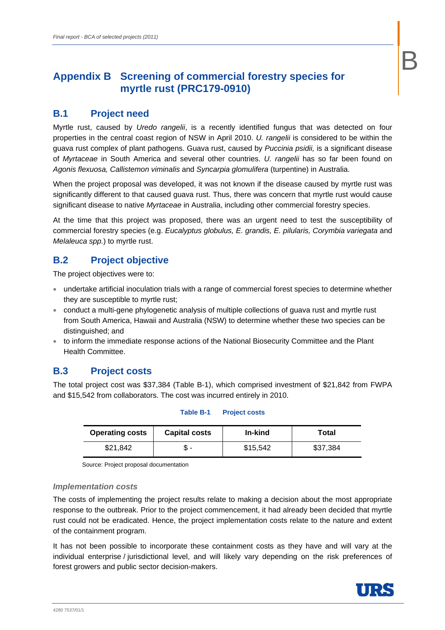# **Appendix B Screening of commercial forestry species for myrtle rust (PRC179-0910)**

# **B.1 Project need**

Myrtle rust, caused by *Uredo rangelii*, is a recently identified fungus that was detected on four properties in the central coast region of NSW in April 2010. *U. rangelii* is considered to be within the guava rust complex of plant pathogens. Guava rust, caused by *Puccinia psidii,* is a significant disease of *Myrtaceae* in South America and several other countries. *U. rangelii* has so far been found on *Agonis flexuosa, Callistemon viminalis* and *Syncarpia glomulifera* (turpentine) in Australia.

When the project proposal was developed, it was not known if the disease caused by myrtle rust was significantly different to that caused guava rust. Thus, there was concern that myrtle rust would cause significant disease to native *Myrtaceae* in Australia, including other commercial forestry species.

At the time that this project was proposed, there was an urgent need to test the susceptibility of commercial forestry species (e.g. *Eucalyptus globulus, E. grandis, E. pilularis, Corymbia variegata* and *Melaleuca spp.*) to myrtle rust.

# **B.2 Project objective**

The project objectives were to:

- undertake artificial inoculation trials with a range of commercial forest species to determine whether they are susceptible to myrtle rust;
- conduct a multi-gene phylogenetic analysis of multiple collections of guava rust and myrtle rust from South America, Hawaii and Australia (NSW) to determine whether these two species can be distinguished; and
- to inform the immediate response actions of the National Biosecurity Committee and the Plant Health Committee.

# **B.3 Project costs**

The total project cost was \$37,384 (Table B-1), which comprised investment of \$21,842 from FWPA and \$15,542 from collaborators. The cost was incurred entirely in 2010.

**Table B-1 Project costs** 

| <b>Operating costs</b> | <b>Capital costs</b> | In-kind  | Total    |
|------------------------|----------------------|----------|----------|
| \$21.842               |                      | \$15,542 | \$37,384 |

Source: Project proposal documentation

## *Implementation costs*

The costs of implementing the project results relate to making a decision about the most appropriate response to the outbreak. Prior to the project commencement, it had already been decided that myrtle rust could not be eradicated. Hence, the project implementation costs relate to the nature and extent of the containment program.

It has not been possible to incorporate these containment costs as they have and will vary at the individual enterprise / jurisdictional level, and will likely vary depending on the risk preferences of forest growers and public sector decision-makers.

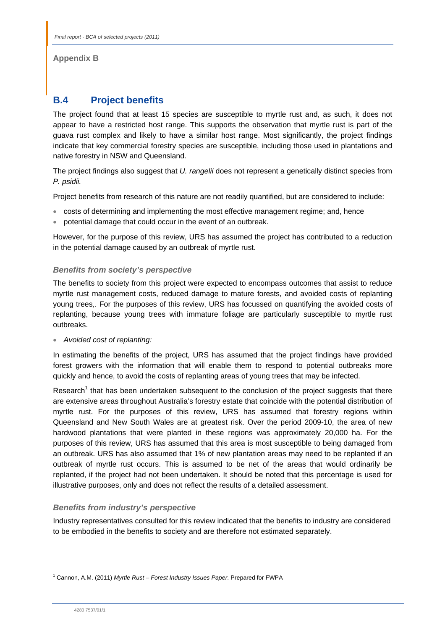## **Appendix B**

# **B.4 Project benefits**

The project found that at least 15 species are susceptible to myrtle rust and, as such, it does not appear to have a restricted host range. This supports the observation that myrtle rust is part of the guava rust complex and likely to have a similar host range. Most significantly, the project findings indicate that key commercial forestry species are susceptible, including those used in plantations and native forestry in NSW and Queensland.

The project findings also suggest that *U. rangelii* does not represent a genetically distinct species from *P. psidii.* 

Project benefits from research of this nature are not readily quantified, but are considered to include:

- costs of determining and implementing the most effective management regime; and, hence
- potential damage that could occur in the event of an outbreak.

However, for the purpose of this review, URS has assumed the project has contributed to a reduction in the potential damage caused by an outbreak of myrtle rust.

## *Benefits from society's perspective*

The benefits to society from this project were expected to encompass outcomes that assist to reduce myrtle rust management costs, reduced damage to mature forests, and avoided costs of replanting young trees,. For the purposes of this review, URS has focussed on quantifying the avoided costs of replanting, because young trees with immature foliage are particularly susceptible to myrtle rust outbreaks.

*Avoided cost of replanting:* 

In estimating the benefits of the project, URS has assumed that the project findings have provided forest growers with the information that will enable them to respond to potential outbreaks more quickly and hence, to avoid the costs of replanting areas of young trees that may be infected.

Research<sup>1</sup> that has been undertaken subsequent to the conclusion of the project suggests that there are extensive areas throughout Australia's forestry estate that coincide with the potential distribution of myrtle rust. For the purposes of this review, URS has assumed that forestry regions within Queensland and New South Wales are at greatest risk. Over the period 2009-10, the area of new hardwood plantations that were planted in these regions was approximately 20,000 ha. For the purposes of this review, URS has assumed that this area is most susceptible to being damaged from an outbreak. URS has also assumed that 1% of new plantation areas may need to be replanted if an outbreak of myrtle rust occurs. This is assumed to be net of the areas that would ordinarily be replanted, if the project had not been undertaken. It should be noted that this percentage is used for illustrative purposes, only and does not reflect the results of a detailed assessment.

## *Benefits from industry's perspective*

Industry representatives consulted for this review indicated that the benefits to industry are considered to be embodied in the benefits to society and are therefore not estimated separately.

l

<sup>1</sup> Cannon, A.M. (2011) *Myrtle Rust – Forest Industry Issues Paper*. Prepared for FWPA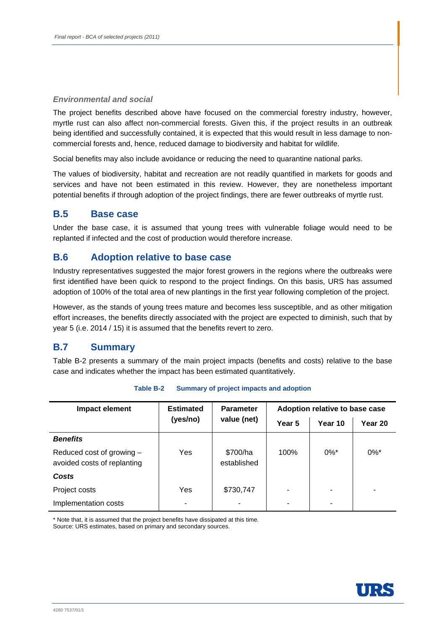## *Environmental and social*

The project benefits described above have focused on the commercial forestry industry, however, myrtle rust can also affect non-commercial forests. Given this, if the project results in an outbreak being identified and successfully contained, it is expected that this would result in less damage to noncommercial forests and, hence, reduced damage to biodiversity and habitat for wildlife.

Social benefits may also include avoidance or reducing the need to quarantine national parks.

The values of biodiversity, habitat and recreation are not readily quantified in markets for goods and services and have not been estimated in this review. However, they are nonetheless important potential benefits if through adoption of the project findings, there are fewer outbreaks of myrtle rust.

## **B.5 Base case**

Under the base case, it is assumed that young trees with vulnerable foliage would need to be replanted if infected and the cost of production would therefore increase.

## **B.6 Adoption relative to base case**

Industry representatives suggested the major forest growers in the regions where the outbreaks were first identified have been quick to respond to the project findings. On this basis, URS has assumed adoption of 100% of the total area of new plantings in the first year following completion of the project.

However, as the stands of young trees mature and becomes less susceptible, and as other mitigation effort increases, the benefits directly associated with the project are expected to diminish, such that by year 5 (i.e. 2014 / 15) it is assumed that the benefits revert to zero.

# **B.7 Summary**

Table B-2 presents a summary of the main project impacts (benefits and costs) relative to the base case and indicates whether the impact has been estimated quantitatively.

| Impact element                                           | <b>Estimated</b> | <b>Parameter</b><br>value (net) | Adoption relative to base case |         |                    |
|----------------------------------------------------------|------------------|---------------------------------|--------------------------------|---------|--------------------|
|                                                          | (yes/no)         |                                 | Year 5                         | Year 10 | Year 20            |
| <b>Benefits</b>                                          |                  |                                 |                                |         |                    |
| Reduced cost of growing -<br>avoided costs of replanting | Yes              | \$700/ha<br>established         | 100%                           | $0\%$ * | $0\%$ <sup>*</sup> |
| Costs                                                    |                  |                                 |                                |         |                    |
| Project costs                                            | Yes              | \$730,747                       | $\overline{\phantom{0}}$       |         |                    |
| Implementation costs                                     |                  |                                 |                                |         |                    |

\* Note that, it is assumed that the project benefits have dissipated at this time. Source: URS estimates, based on primary and secondary sources.

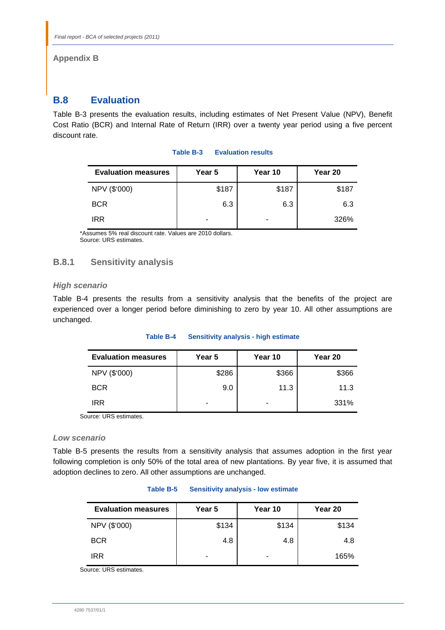## **Appendix B**

# **B.8 Evaluation**

Table B-3 presents the evaluation results, including estimates of Net Present Value (NPV), Benefit Cost Ratio (BCR) and Internal Rate of Return (IRR) over a twenty year period using a five percent discount rate.

| <b>Evaluation measures</b> | Year 5 | Year 10 | Year 20 |
|----------------------------|--------|---------|---------|
| NPV (\$'000)               | \$187  | \$187   | \$187   |
| <b>BCR</b>                 | 6.3    | 6.3     | 6.3     |
| <b>IRR</b>                 |        | -       | 326%    |

### **Table B-3 Evaluation results**

\*Assumes 5% real discount rate. Values are 2010 dollars. Source: URS estimates.

## **B.8.1 Sensitivity analysis**

## *High scenario*

Table B-4 presents the results from a sensitivity analysis that the benefits of the project are experienced over a longer period before diminishing to zero by year 10. All other assumptions are unchanged.

#### **Table B-4 Sensitivity analysis - high estimate**

| <b>Evaluation measures</b> | Year 5 | Year 10 | Year 20 |
|----------------------------|--------|---------|---------|
| NPV (\$'000)               | \$286  | \$366   | \$366   |
| <b>BCR</b>                 | 9.0    | 11.3    | 11.3    |
| IRR                        | -      |         | 331%    |

Source: URS estimates.

## *Low scenario*

Table B-5 presents the results from a sensitivity analysis that assumes adoption in the first year following completion is only 50% of the total area of new plantations. By year five, it is assumed that adoption declines to zero. All other assumptions are unchanged.

| Table B-5 |  | <b>Sensitivity analysis - low estimate</b> |
|-----------|--|--------------------------------------------|
|-----------|--|--------------------------------------------|

| <b>Evaluation measures</b> | Year 5 | Year 10 | Year 20 |
|----------------------------|--------|---------|---------|
| NPV (\$'000)               | \$134  | \$134   | \$134   |
| <b>BCR</b>                 | 4.8    | 4.8     | 4.8     |
| <b>IRR</b>                 |        |         | 165%    |

Source: URS estimates.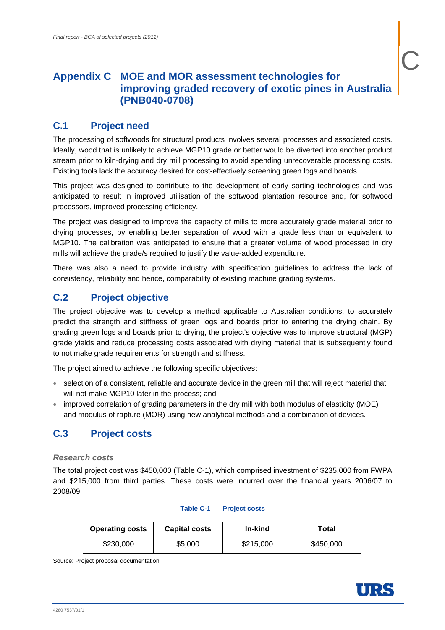# **Appendix C MOE and MOR assessment technologies for improving graded recovery of exotic pines in Australia (PNB040-0708)**

# **C.1 Project need**

The processing of softwoods for structural products involves several processes and associated costs. Ideally, wood that is unlikely to achieve MGP10 grade or better would be diverted into another product stream prior to kiln-drying and dry mill processing to avoid spending unrecoverable processing costs. Existing tools lack the accuracy desired for cost-effectively screening green logs and boards.

This project was designed to contribute to the development of early sorting technologies and was anticipated to result in improved utilisation of the softwood plantation resource and, for softwood processors, improved processing efficiency.

The project was designed to improve the capacity of mills to more accurately grade material prior to drying processes, by enabling better separation of wood with a grade less than or equivalent to MGP10. The calibration was anticipated to ensure that a greater volume of wood processed in dry mills will achieve the grade/s required to justify the value-added expenditure.

There was also a need to provide industry with specification guidelines to address the lack of consistency, reliability and hence, comparability of existing machine grading systems.

# **C.2 Project objective**

The project objective was to develop a method applicable to Australian conditions, to accurately predict the strength and stiffness of green logs and boards prior to entering the drying chain. By grading green logs and boards prior to drying, the project's objective was to improve structural (MGP) grade yields and reduce processing costs associated with drying material that is subsequently found to not make grade requirements for strength and stiffness.

The project aimed to achieve the following specific objectives:

- selection of a consistent, reliable and accurate device in the green mill that will reject material that will not make MGP10 later in the process; and
- improved correlation of grading parameters in the dry mill with both modulus of elasticity (MOE) and modulus of rapture (MOR) using new analytical methods and a combination of devices.

# **C.3 Project costs**

## *Research costs*

The total project cost was \$450,000 (Table C-1), which comprised investment of \$235,000 from FWPA and \$215,000 from third parties. These costs were incurred over the financial years 2006/07 to 2008/09.

| <b>Operating costs</b> | <b>Capital costs</b> | In-kind   | Total     |
|------------------------|----------------------|-----------|-----------|
| \$230,000              | \$5,000              | \$215,000 | \$450,000 |

## **Table C-1 Project costs**

Source: Project proposal documentation

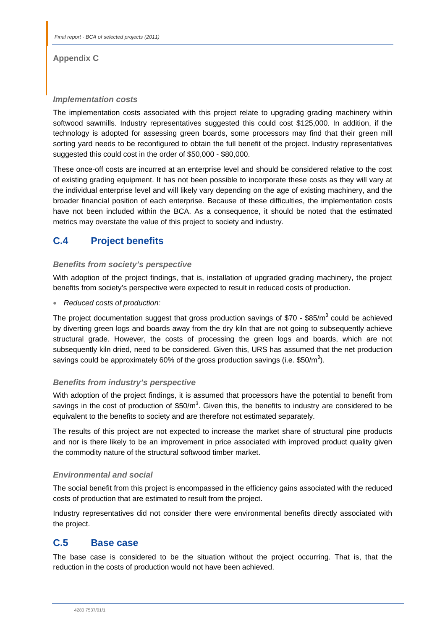## **Appendix C**

## *Implementation costs*

The implementation costs associated with this project relate to upgrading grading machinery within softwood sawmills. Industry representatives suggested this could cost \$125,000. In addition, if the technology is adopted for assessing green boards, some processors may find that their green mill sorting yard needs to be reconfigured to obtain the full benefit of the project. Industry representatives suggested this could cost in the order of \$50,000 - \$80,000.

These once-off costs are incurred at an enterprise level and should be considered relative to the cost of existing grading equipment. It has not been possible to incorporate these costs as they will vary at the individual enterprise level and will likely vary depending on the age of existing machinery, and the broader financial position of each enterprise. Because of these difficulties, the implementation costs have not been included within the BCA. As a consequence, it should be noted that the estimated metrics may overstate the value of this project to society and industry.

# **C.4 Project benefits**

## *Benefits from society's perspective*

With adoption of the project findings, that is, installation of upgraded grading machinery, the project benefits from society's perspective were expected to result in reduced costs of production.

*Reduced costs of production:* 

The project documentation suggest that gross production savings of \$70 - \$85/m<sup>3</sup> could be achieved by diverting green logs and boards away from the dry kiln that are not going to subsequently achieve structural grade. However, the costs of processing the green logs and boards, which are not subsequently kiln dried, need to be considered. Given this, URS has assumed that the net production savings could be approximately 60% of the gross production savings (i.e. \$50/m<sup>3</sup>).

## *Benefits from industry's perspective*

With adoption of the project findings, it is assumed that processors have the potential to benefit from savings in the cost of production of \$50/m<sup>3</sup>. Given this, the benefits to industry are considered to be equivalent to the benefits to society and are therefore not estimated separately.

The results of this project are not expected to increase the market share of structural pine products and nor is there likely to be an improvement in price associated with improved product quality given the commodity nature of the structural softwood timber market.

## *Environmental and social*

The social benefit from this project is encompassed in the efficiency gains associated with the reduced costs of production that are estimated to result from the project.

Industry representatives did not consider there were environmental benefits directly associated with the project.

# **C.5 Base case**

The base case is considered to be the situation without the project occurring. That is, that the reduction in the costs of production would not have been achieved.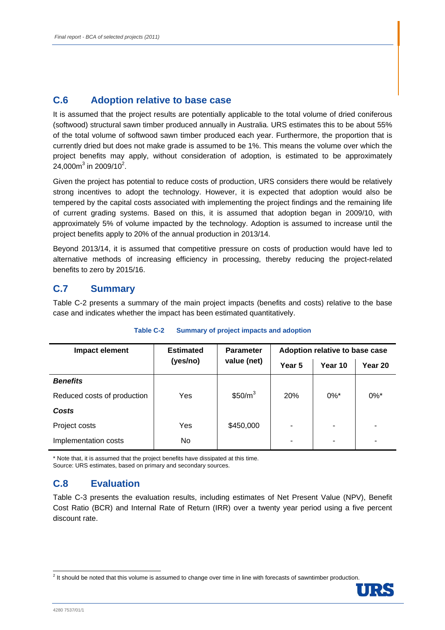# **C.6 Adoption relative to base case**

It is assumed that the project results are potentially applicable to the total volume of dried coniferous (softwood) structural sawn timber produced annually in Australia. URS estimates this to be about 55% of the total volume of softwood sawn timber produced each year. Furthermore, the proportion that is currently dried but does not make grade is assumed to be 1%. This means the volume over which the project benefits may apply, without consideration of adoption, is estimated to be approximately 24,000m<sup>3</sup> in 2009/10<sup>2</sup>.

Given the project has potential to reduce costs of production, URS considers there would be relatively strong incentives to adopt the technology. However, it is expected that adoption would also be tempered by the capital costs associated with implementing the project findings and the remaining life of current grading systems. Based on this, it is assumed that adoption began in 2009/10, with approximately 5% of volume impacted by the technology. Adoption is assumed to increase until the project benefits apply to 20% of the annual production in 2013/14.

Beyond 2013/14, it is assumed that competitive pressure on costs of production would have led to alternative methods of increasing efficiency in processing, thereby reducing the project-related benefits to zero by 2015/16.

# **C.7 Summary**

Table C-2 presents a summary of the main project impacts (benefits and costs) relative to the base case and indicates whether the impact has been estimated quantitatively.

| Impact element              | <b>Estimated</b> | <b>Parameter</b><br>value (net) | Adoption relative to base case |                    |                    |
|-----------------------------|------------------|---------------------------------|--------------------------------|--------------------|--------------------|
|                             | (yes/no)         |                                 | Year 5                         | Year 10            | Year 20            |
| <b>Benefits</b>             |                  |                                 |                                |                    |                    |
| Reduced costs of production | Yes              | \$50/m <sup>3</sup>             | <b>20%</b>                     | $0\%$ <sup>*</sup> | $0\%$ <sup>*</sup> |
| Costs                       |                  |                                 |                                |                    |                    |
| Project costs               | Yes              | \$450,000                       |                                |                    |                    |
| Implementation costs        | No.              |                                 |                                | ۰                  | ۰                  |

## **Table C-2 Summary of project impacts and adoption**

\* Note that, it is assumed that the project benefits have dissipated at this time. Source: URS estimates, based on primary and secondary sources.

# **C.8 Evaluation**

Table C-3 presents the evaluation results, including estimates of Net Present Value (NPV), Benefit Cost Ratio (BCR) and Internal Rate of Return (IRR) over a twenty year period using a five percent discount rate.

 2 It should be noted that this volume is assumed to change over time in line with forecasts of sawntimber production.

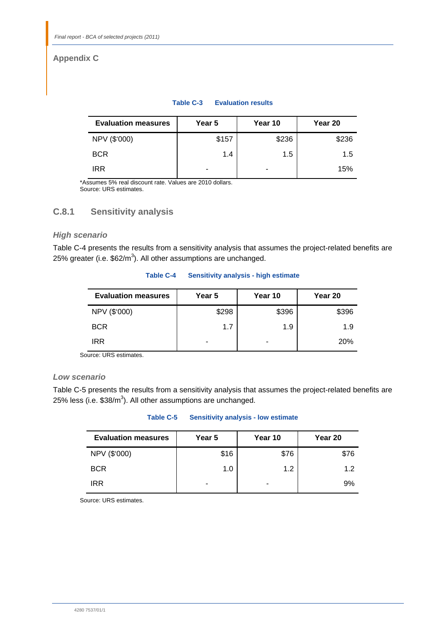# **Appendix C**

## **Table C-3 Evaluation results**

| <b>Evaluation measures</b> | Year 5 | Year 10 | Year 20 |
|----------------------------|--------|---------|---------|
| NPV (\$'000)               | \$157  | \$236   | \$236   |
| <b>BCR</b>                 | 1.4    | 1.5     | 1.5     |
| <b>IRR</b>                 | ۰      |         | 15%     |

\*Assumes 5% real discount rate. Values are 2010 dollars. Source: URS estimates.

## **C.8.1 Sensitivity analysis**

## *High scenario*

Table C-4 presents the results from a sensitivity analysis that assumes the project-related benefits are 25% greater (i.e.  $$62/m^3$ ). All other assumptions are unchanged.

## **Table C-4 Sensitivity analysis - high estimate**

| <b>Evaluation measures</b> | Year 5 | Year 10 | Year 20 |
|----------------------------|--------|---------|---------|
| NPV (\$'000)               | \$298  | \$396   | \$396   |
| <b>BCR</b>                 | 1.7    | 1.9     | 1.9     |
| IRR                        | -      |         | 20%     |

Source: URS estimates.

## *Low scenario*

j

Table C-5 presents the results from a sensitivity analysis that assumes the project-related benefits are 25% less (i.e.  $$38/m^3$ ). All other assumptions are unchanged.

## **Table C-5 Sensitivity analysis - low estimate**

| <b>Evaluation measures</b> | Year 5 | Year 10 | Year 20 |
|----------------------------|--------|---------|---------|
| NPV (\$'000)               | \$16   | \$76    | \$76    |
| <b>BCR</b>                 | 1.0    | 1.2     | 12      |
| <b>IRR</b>                 | -      |         | 9%      |

Source: URS estimates.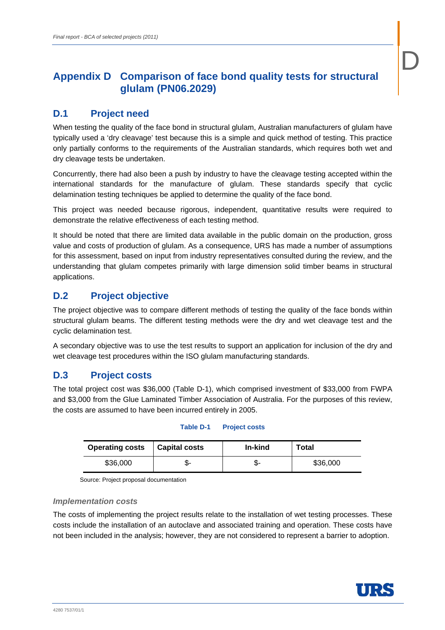# **Appendix D Comparison of face bond quality tests for structural glulam (PN06.2029)**

# **D.1 Project need**

When testing the quality of the face bond in structural glulam, Australian manufacturers of glulam have typically used a 'dry cleavage' test because this is a simple and quick method of testing. This practice only partially conforms to the requirements of the Australian standards, which requires both wet and dry cleavage tests be undertaken.

Concurrently, there had also been a push by industry to have the cleavage testing accepted within the international standards for the manufacture of glulam. These standards specify that cyclic delamination testing techniques be applied to determine the quality of the face bond.

This project was needed because rigorous, independent, quantitative results were required to demonstrate the relative effectiveness of each testing method.

It should be noted that there are limited data available in the public domain on the production, gross value and costs of production of glulam. As a consequence, URS has made a number of assumptions for this assessment, based on input from industry representatives consulted during the review, and the understanding that glulam competes primarily with large dimension solid timber beams in structural applications.

# **D.2 Project objective**

The project objective was to compare different methods of testing the quality of the face bonds within structural glulam beams. The different testing methods were the dry and wet cleavage test and the cyclic delamination test.

A secondary objective was to use the test results to support an application for inclusion of the dry and wet cleavage test procedures within the ISO glulam manufacturing standards.

# **D.3 Project costs**

The total project cost was \$36,000 (Table D-1), which comprised investment of \$33,000 from FWPA and \$3,000 from the Glue Laminated Timber Association of Australia. For the purposes of this review, the costs are assumed to have been incurred entirely in 2005.

## **Table D-1 Project costs**

| <b>Operating costs</b> | <b>Capital costs</b> | In-kind | Total    |
|------------------------|----------------------|---------|----------|
| \$36,000               | -აი-                 | -ው      | \$36,000 |

Source: Project proposal documentation

## *Implementation costs*

The costs of implementing the project results relate to the installation of wet testing processes. These costs include the installation of an autoclave and associated training and operation. These costs have not been included in the analysis; however, they are not considered to represent a barrier to adoption.



D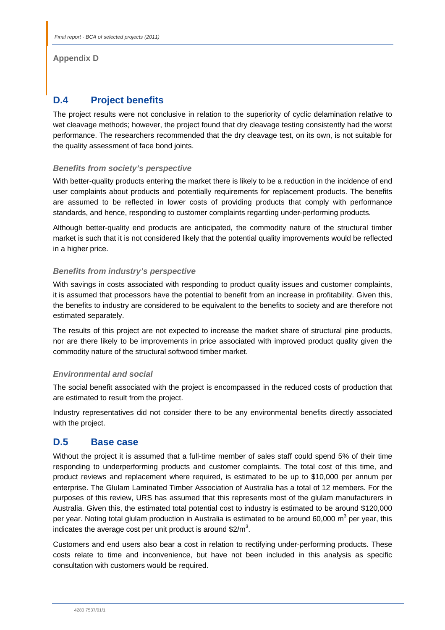## **Appendix D**

# **D.4 Project benefits**

The project results were not conclusive in relation to the superiority of cyclic delamination relative to wet cleavage methods; however, the project found that dry cleavage testing consistently had the worst performance. The researchers recommended that the dry cleavage test, on its own, is not suitable for the quality assessment of face bond joints.

## *Benefits from society's perspective*

With better-quality products entering the market there is likely to be a reduction in the incidence of end user complaints about products and potentially requirements for replacement products. The benefits are assumed to be reflected in lower costs of providing products that comply with performance standards, and hence, responding to customer complaints regarding under-performing products.

Although better-quality end products are anticipated, the commodity nature of the structural timber market is such that it is not considered likely that the potential quality improvements would be reflected in a higher price.

## *Benefits from industry's perspective*

With savings in costs associated with responding to product quality issues and customer complaints, it is assumed that processors have the potential to benefit from an increase in profitability. Given this, the benefits to industry are considered to be equivalent to the benefits to society and are therefore not estimated separately.

The results of this project are not expected to increase the market share of structural pine products, nor are there likely to be improvements in price associated with improved product quality given the commodity nature of the structural softwood timber market.

## *Environmental and social*

The social benefit associated with the project is encompassed in the reduced costs of production that are estimated to result from the project.

Industry representatives did not consider there to be any environmental benefits directly associated with the project.

# **D.5 Base case**

Without the project it is assumed that a full-time member of sales staff could spend 5% of their time responding to underperforming products and customer complaints. The total cost of this time, and product reviews and replacement where required, is estimated to be up to \$10,000 per annum per enterprise. The Glulam Laminated Timber Association of Australia has a total of 12 members. For the purposes of this review, URS has assumed that this represents most of the glulam manufacturers in Australia. Given this, the estimated total potential cost to industry is estimated to be around \$120,000 per year. Noting total glulam production in Australia is estimated to be around 60,000 m<sup>3</sup> per year, this indicates the average cost per unit product is around \$2/m<sup>3</sup>.

Customers and end users also bear a cost in relation to rectifying under-performing products. These costs relate to time and inconvenience, but have not been included in this analysis as specific consultation with customers would be required.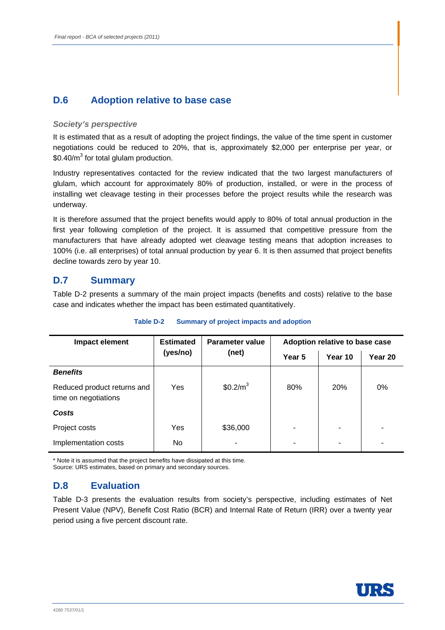# **D.6 Adoption relative to base case**

## *Society's perspective*

It is estimated that as a result of adopting the project findings, the value of the time spent in customer negotiations could be reduced to 20%, that is, approximately \$2,000 per enterprise per year, or  $$0.40/m<sup>3</sup>$  for total glulam production.

Industry representatives contacted for the review indicated that the two largest manufacturers of glulam, which account for approximately 80% of production, installed, or were in the process of installing wet cleavage testing in their processes before the project results while the research was underway.

It is therefore assumed that the project benefits would apply to 80% of total annual production in the first year following completion of the project. It is assumed that competitive pressure from the manufacturers that have already adopted wet cleavage testing means that adoption increases to 100% (i.e. all enterprises) of total annual production by year 6. It is then assumed that project benefits decline towards zero by year 10.

# **D.7 Summary**

Table D-2 presents a summary of the main project impacts (benefits and costs) relative to the base case and indicates whether the impact has been estimated quantitatively.

| Impact element                                      | <b>Estimated</b> | <b>Parameter value</b> | Adoption relative to base case |            |         |
|-----------------------------------------------------|------------------|------------------------|--------------------------------|------------|---------|
|                                                     | (yes/no)         | (net)                  | Year 5                         | Year 10    | Year 20 |
| <b>Benefits</b>                                     |                  |                        |                                |            |         |
| Reduced product returns and<br>time on negotiations | Yes              | $$0.2/m^3$             | 80%                            | <b>20%</b> | 0%      |
| Costs                                               |                  |                        |                                |            |         |
| Project costs                                       | Yes              | \$36,000               |                                | ۰          |         |
| Implementation costs                                | No.              | -                      |                                |            |         |

## **Table D-2 Summary of project impacts and adoption**

\* Note it is assumed that the project benefits have dissipated at this time. Source: URS estimates, based on primary and secondary sources.

# **D.8 Evaluation**

Table D-3 presents the evaluation results from society's perspective, including estimates of Net Present Value (NPV), Benefit Cost Ratio (BCR) and Internal Rate of Return (IRR) over a twenty year period using a five percent discount rate.

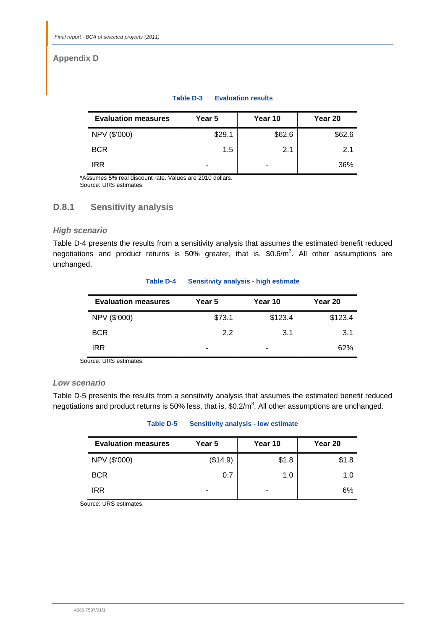# **Appendix D**

#### **Table D-3 Evaluation results**

| <b>Evaluation measures</b> | Year 5 | Year 10 | Year 20 |
|----------------------------|--------|---------|---------|
| NPV (\$'000)               | \$29.1 | \$62.6  | \$62.6  |
| <b>BCR</b>                 | 1.5    | 2.1     | 2.1     |
| IRR                        | -      |         | 36%     |

\*Assumes 5% real discount rate. Values are 2010 dollars. Source: URS estimates.

## **D.8.1 Sensitivity analysis**

## *High scenario*

Table D-4 presents the results from a sensitivity analysis that assumes the estimated benefit reduced negotiations and product returns is 50% greater, that is,  $$0.6/m<sup>3</sup>$ . All other assumptions are unchanged.

| <b>Evaluation measures</b> | Year 5           | Year 10 | Year 20 |
|----------------------------|------------------|---------|---------|
| NPV (\$'000)               | \$73.1           | \$123.4 | \$123.4 |
| <b>BCR</b>                 | $2.2\phantom{0}$ | 3.1     | 3.1     |
| IRR                        |                  |         | 62%     |

#### **Table D-4 Sensitivity analysis - high estimate**

Source: URS estimates.

## *Low scenario*

Table D-5 presents the results from a sensitivity analysis that assumes the estimated benefit reduced negotiations and product returns is 50% less, that is,  $$0.2/m<sup>3</sup>$ . All other assumptions are unchanged.

## **Table D-5 Sensitivity analysis - low estimate**

| <b>Evaluation measures</b> | Year 5   | Year 10 | Year 20 |
|----------------------------|----------|---------|---------|
| NPV (\$'000)               | (\$14.9) | \$1.8   | \$1.8   |
| <b>BCR</b>                 | 0.7      | 1.0     | 1.0     |
| <b>IRR</b>                 | -        |         | 6%      |

Source: URS estimates.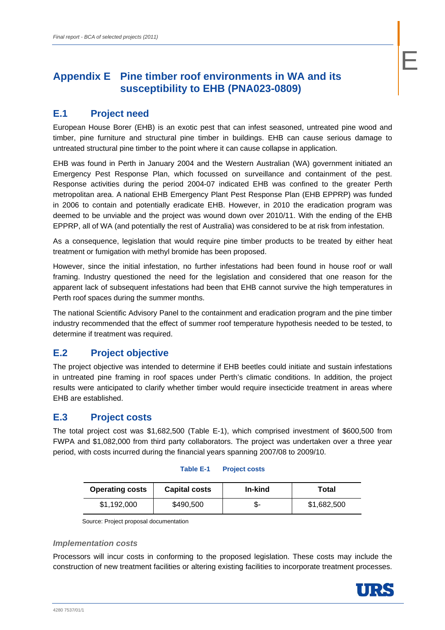# **Appendix E Pine timber roof environments in WA and its susceptibility to EHB (PNA023-0809)**

# **E.1 Project need**

European House Borer (EHB) is an exotic pest that can infest seasoned, untreated pine wood and timber, pine furniture and structural pine timber in buildings. EHB can cause serious damage to untreated structural pine timber to the point where it can cause collapse in application.

EHB was found in Perth in January 2004 and the Western Australian (WA) government initiated an Emergency Pest Response Plan, which focussed on surveillance and containment of the pest. Response activities during the period 2004-07 indicated EHB was confined to the greater Perth metropolitan area. A national EHB Emergency Plant Pest Response Plan (EHB EPPRP) was funded in 2006 to contain and potentially eradicate EHB. However, in 2010 the eradication program was deemed to be unviable and the project was wound down over 2010/11. With the ending of the EHB EPPRP, all of WA (and potentially the rest of Australia) was considered to be at risk from infestation.

As a consequence, legislation that would require pine timber products to be treated by either heat treatment or fumigation with methyl bromide has been proposed.

However, since the initial infestation, no further infestations had been found in house roof or wall framing. Industry questioned the need for the legislation and considered that one reason for the apparent lack of subsequent infestations had been that EHB cannot survive the high temperatures in Perth roof spaces during the summer months.

The national Scientific Advisory Panel to the containment and eradication program and the pine timber industry recommended that the effect of summer roof temperature hypothesis needed to be tested, to determine if treatment was required.

# **E.2 Project objective**

The project objective was intended to determine if EHB beetles could initiate and sustain infestations in untreated pine framing in roof spaces under Perth's climatic conditions. In addition, the project results were anticipated to clarify whether timber would require insecticide treatment in areas where EHB are established.

# **E.3 Project costs**

The total project cost was \$1,682,500 (Table E-1), which comprised investment of \$600,500 from FWPA and \$1,082,000 from third party collaborators. The project was undertaken over a three year period, with costs incurred during the financial years spanning 2007/08 to 2009/10.

## **Table E-1 Project costs**

| <b>Operating costs</b> | <b>Capital costs</b> | In-kind | Total       |
|------------------------|----------------------|---------|-------------|
| \$1.192.000            | \$490,500            |         | \$1,682,500 |

Source: Project proposal documentation

## *Implementation costs*

Processors will incur costs in conforming to the proposed legislation. These costs may include the construction of new treatment facilities or altering existing facilities to incorporate treatment processes.

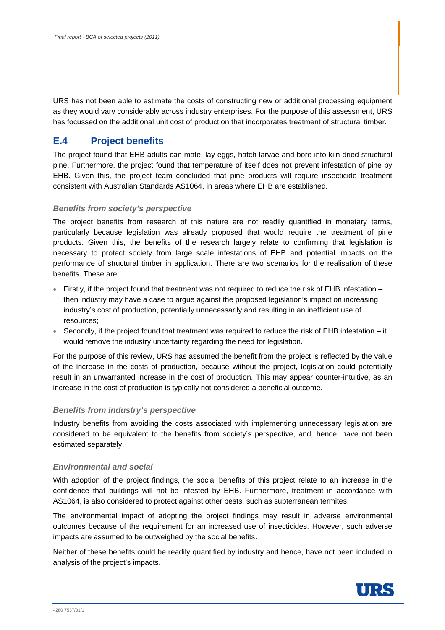URS has not been able to estimate the costs of constructing new or additional processing equipment as they would vary considerably across industry enterprises. For the purpose of this assessment, URS has focussed on the additional unit cost of production that incorporates treatment of structural timber.

# **E.4 Project benefits**

The project found that EHB adults can mate, lay eggs, hatch larvae and bore into kiln-dried structural pine. Furthermore, the project found that temperature of itself does not prevent infestation of pine by EHB. Given this, the project team concluded that pine products will require insecticide treatment consistent with Australian Standards AS1064, in areas where EHB are established.

## *Benefits from society's perspective*

The project benefits from research of this nature are not readily quantified in monetary terms, particularly because legislation was already proposed that would require the treatment of pine products. Given this, the benefits of the research largely relate to confirming that legislation is necessary to protect society from large scale infestations of EHB and potential impacts on the performance of structural timber in application. There are two scenarios for the realisation of these benefits. These are:

- Firstly, if the project found that treatment was not required to reduce the risk of EHB infestation  $$ then industry may have a case to argue against the proposed legislation's impact on increasing industry's cost of production, potentially unnecessarily and resulting in an inefficient use of resources;
- Secondly, if the project found that treatment was required to reduce the risk of EHB infestation it would remove the industry uncertainty regarding the need for legislation.

For the purpose of this review, URS has assumed the benefit from the project is reflected by the value of the increase in the costs of production, because without the project, legislation could potentially result in an unwarranted increase in the cost of production. This may appear counter-intuitive, as an increase in the cost of production is typically not considered a beneficial outcome.

## *Benefits from industry's perspective*

Industry benefits from avoiding the costs associated with implementing unnecessary legislation are considered to be equivalent to the benefits from society's perspective, and, hence, have not been estimated separately.

## *Environmental and social*

With adoption of the project findings, the social benefits of this project relate to an increase in the confidence that buildings will not be infested by EHB. Furthermore, treatment in accordance with AS1064, is also considered to protect against other pests, such as subterranean termites.

The environmental impact of adopting the project findings may result in adverse environmental outcomes because of the requirement for an increased use of insecticides. However, such adverse impacts are assumed to be outweighed by the social benefits.

Neither of these benefits could be readily quantified by industry and hence, have not been included in analysis of the project's impacts.

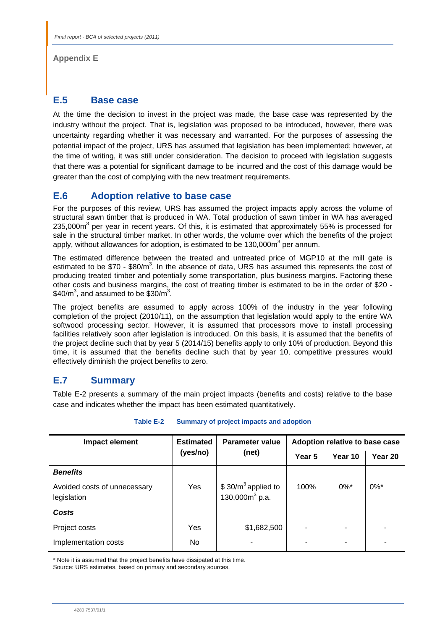**Appendix E** 

# **E.5 Base case**

At the time the decision to invest in the project was made, the base case was represented by the industry without the project. That is, legislation was proposed to be introduced, however, there was uncertainty regarding whether it was necessary and warranted. For the purposes of assessing the potential impact of the project, URS has assumed that legislation has been implemented; however, at the time of writing, it was still under consideration. The decision to proceed with legislation suggests that there was a potential for significant damage to be incurred and the cost of this damage would be greater than the cost of complying with the new treatment requirements.

# **E.6 Adoption relative to base case**

For the purposes of this review, URS has assumed the project impacts apply across the volume of structural sawn timber that is produced in WA. Total production of sawn timber in WA has averaged 235,000m<sup>3</sup> per year in recent years. Of this, it is estimated that approximately 55% is processed for sale in the structural timber market. In other words, the volume over which the benefits of the project apply, without allowances for adoption, is estimated to be 130,000m<sup>3</sup> per annum.

The estimated difference between the treated and untreated price of MGP10 at the mill gate is estimated to be \$70 - \$80/m<sup>3</sup>. In the absence of data, URS has assumed this represents the cost of producing treated timber and potentially some transportation, plus business margins. Factoring these other costs and business margins, the cost of treating timber is estimated to be in the order of \$20 -  $$40/m^3$ , and assumed to be  $$30/m^3$ .

The project benefits are assumed to apply across 100% of the industry in the year following completion of the project (2010/11), on the assumption that legislation would apply to the entire WA softwood processing sector. However, it is assumed that processors move to install processing facilities relatively soon after legislation is introduced. On this basis, it is assumed that the benefits of the project decline such that by year 5 (2014/15) benefits apply to only 10% of production. Beyond this time, it is assumed that the benefits decline such that by year 10, competitive pressures would effectively diminish the project benefits to zero.

# **E.7 Summary**

Table E-2 presents a summary of the main project impacts (benefits and costs) relative to the base case and indicates whether the impact has been estimated quantitatively.

| Impact element                              | <b>Estimated</b> | <b>Parameter value</b>                    |        | Adoption relative to base case |                    |  |
|---------------------------------------------|------------------|-------------------------------------------|--------|--------------------------------|--------------------|--|
|                                             | (yes/no)         | (net)                                     | Year 5 | Year 10                        | Year 20            |  |
| <b>Benefits</b>                             |                  |                                           |        |                                |                    |  |
| Avoided costs of unnecessary<br>legislation | Yes              | $$30/m3$ applied to<br>130,000 $m^3$ p.a. | 100%   | $0\%$ *                        | $0\%$ <sup>*</sup> |  |
| Costs                                       |                  |                                           |        |                                |                    |  |
| Project costs                               | Yes              | \$1,682,500                               |        | ٠                              |                    |  |
| Implementation costs                        | No.              | ۰                                         |        | ٠                              |                    |  |

**Table E-2 Summary of project impacts and adoption** 

\* Note it is assumed that the project benefits have dissipated at this time.

Source: URS estimates, based on primary and secondary sources.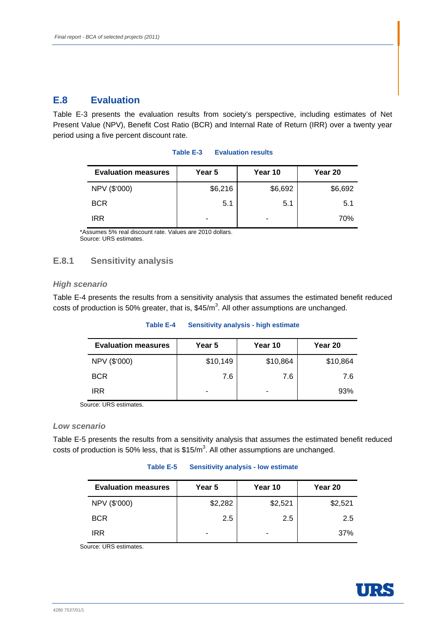# **E.8 Evaluation**

Table E-3 presents the evaluation results from society's perspective, including estimates of Net Present Value (NPV), Benefit Cost Ratio (BCR) and Internal Rate of Return (IRR) over a twenty year period using a five percent discount rate.

| <b>Evaluation measures</b> | Year 5  | Year 10 | Year 20 |
|----------------------------|---------|---------|---------|
| NPV (\$'000)               | \$6,216 | \$6,692 | \$6,692 |
| <b>BCR</b>                 | 5.1     | 5.1     | 5.1     |
| <b>IRR</b>                 | -       | -       | 70%     |

## **Table E-3 Evaluation results**

\*Assumes 5% real discount rate. Values are 2010 dollars. Source: URS estimates.

## **E.8.1 Sensitivity analysis**

## *High scenario*

Table E-4 presents the results from a sensitivity analysis that assumes the estimated benefit reduced costs of production is 50% greater, that is,  $$45/m<sup>3</sup>$ . All other assumptions are unchanged.

### **Table E-4 Sensitivity analysis - high estimate**

| <b>Evaluation measures</b> | Year 5   | Year 10  | Year 20  |
|----------------------------|----------|----------|----------|
| NPV (\$'000)               | \$10,149 | \$10,864 | \$10,864 |
| <b>BCR</b>                 | 7.6      | 7.6      | 7.6      |
| IRR                        | -        |          | 93%      |

Source: URS estimates.

## *Low scenario*

Table E-5 presents the results from a sensitivity analysis that assumes the estimated benefit reduced costs of production is 50% less, that is  $$15/m<sup>3</sup>$ . All other assumptions are unchanged.

#### **Table E-5 Sensitivity analysis - low estimate**

| <b>Evaluation measures</b> | Year 5  | Year 10 | Year 20 |
|----------------------------|---------|---------|---------|
| NPV (\$'000)               | \$2,282 | \$2,521 | \$2,521 |
| <b>BCR</b>                 | 2.5     | $2.5\,$ | 2.5     |
| IRR                        | -       | -       | 37%     |

Source: URS estimates.

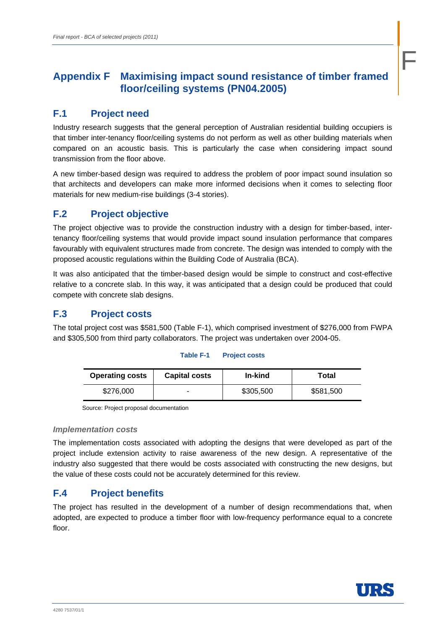# **Appendix F Maximising impact sound resistance of timber framed floor/ceiling systems (PN04.2005)**

# **F.1 Project need**

Industry research suggests that the general perception of Australian residential building occupiers is that timber inter-tenancy floor/ceiling systems do not perform as well as other building materials when compared on an acoustic basis. This is particularly the case when considering impact sound transmission from the floor above.

A new timber-based design was required to address the problem of poor impact sound insulation so that architects and developers can make more informed decisions when it comes to selecting floor materials for new medium-rise buildings (3-4 stories).

# **F.2 Project objective**

The project objective was to provide the construction industry with a design for timber-based, intertenancy floor/ceiling systems that would provide impact sound insulation performance that compares favourably with equivalent structures made from concrete. The design was intended to comply with the proposed acoustic regulations within the Building Code of Australia (BCA).

It was also anticipated that the timber-based design would be simple to construct and cost-effective relative to a concrete slab. In this way, it was anticipated that a design could be produced that could compete with concrete slab designs.

# **F.3 Project costs**

The total project cost was \$581,500 (Table F-1), which comprised investment of \$276,000 from FWPA and \$305,500 from third party collaborators. The project was undertaken over 2004-05.

## **Table F-1 Project costs**

| <b>Operating costs</b> | <b>Capital costs</b> | In-kind   | Total     |
|------------------------|----------------------|-----------|-----------|
| \$276,000              | -                    | \$305,500 | \$581,500 |

Source: Project proposal documentation

## *Implementation costs*

The implementation costs associated with adopting the designs that were developed as part of the project include extension activity to raise awareness of the new design. A representative of the industry also suggested that there would be costs associated with constructing the new designs, but the value of these costs could not be accurately determined for this review.

# **F.4 Project benefits**

The project has resulted in the development of a number of design recommendations that, when adopted, are expected to produce a timber floor with low-frequency performance equal to a concrete floor.



F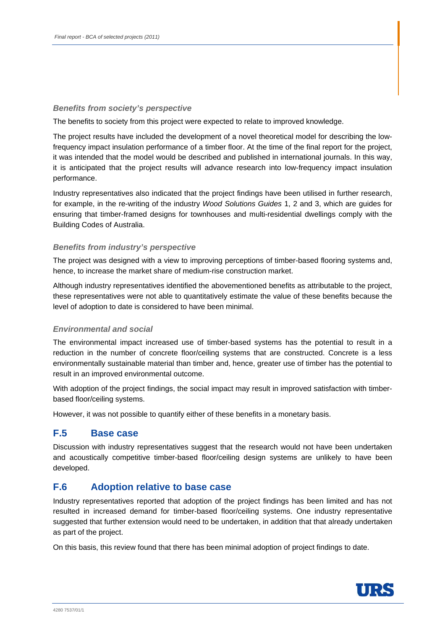## *Benefits from society's perspective*

The benefits to society from this project were expected to relate to improved knowledge.

The project results have included the development of a novel theoretical model for describing the lowfrequency impact insulation performance of a timber floor. At the time of the final report for the project, it was intended that the model would be described and published in international journals. In this way, it is anticipated that the project results will advance research into low-frequency impact insulation performance.

Industry representatives also indicated that the project findings have been utilised in further research, for example, in the re-writing of the industry *Wood Solutions Guides* 1, 2 and 3, which are guides for ensuring that timber-framed designs for townhouses and multi-residential dwellings comply with the Building Codes of Australia.

## *Benefits from industry's perspective*

The project was designed with a view to improving perceptions of timber-based flooring systems and, hence, to increase the market share of medium-rise construction market.

Although industry representatives identified the abovementioned benefits as attributable to the project, these representatives were not able to quantitatively estimate the value of these benefits because the level of adoption to date is considered to have been minimal.

## *Environmental and social*

The environmental impact increased use of timber-based systems has the potential to result in a reduction in the number of concrete floor/ceiling systems that are constructed. Concrete is a less environmentally sustainable material than timber and, hence, greater use of timber has the potential to result in an improved environmental outcome.

With adoption of the project findings, the social impact may result in improved satisfaction with timberbased floor/ceiling systems.

However, it was not possible to quantify either of these benefits in a monetary basis.

## **F.5 Base case**

Discussion with industry representatives suggest that the research would not have been undertaken and acoustically competitive timber-based floor/ceiling design systems are unlikely to have been developed.

## **F.6 Adoption relative to base case**

Industry representatives reported that adoption of the project findings has been limited and has not resulted in increased demand for timber-based floor/ceiling systems. One industry representative suggested that further extension would need to be undertaken, in addition that that already undertaken as part of the project.

On this basis, this review found that there has been minimal adoption of project findings to date.

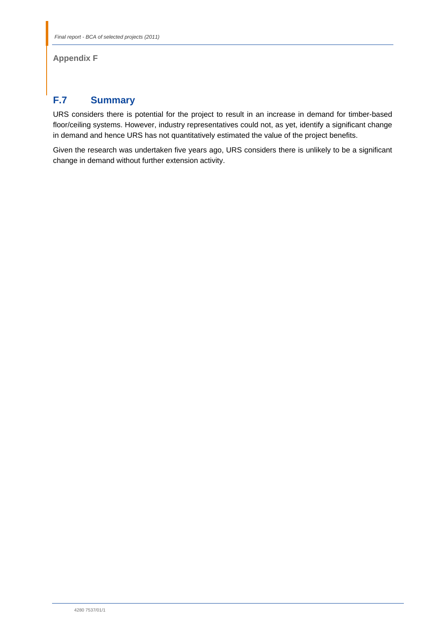## **Appendix F**

# **F.7 Summary**

URS considers there is potential for the project to result in an increase in demand for timber-based floor/ceiling systems. However, industry representatives could not, as yet, identify a significant change in demand and hence URS has not quantitatively estimated the value of the project benefits.

Given the research was undertaken five years ago, URS considers there is unlikely to be a significant change in demand without further extension activity.